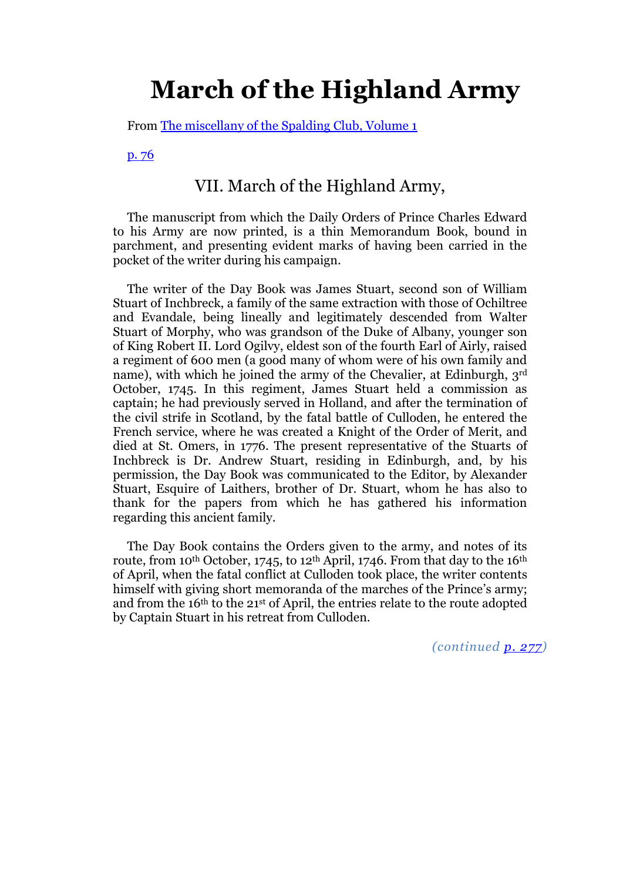# **March of the Highland Army**

From [The miscellany of the Spalding Club, Volume 1](http://books.google.com/books?pg=PA1&id=QVoJAAAAIAAJ)

[p. 76](http://books.google.com/books?id=QVoJAAAAIAAJ&pg=PA76#v=onepage&q&f=false)

## VII. March of the Highland Army,

The manuscript from which the Daily Orders of Prince Charles Edward to his Army are now printed, is a thin Memorandum Book, bound in parchment, and presenting evident marks of having been carried in the pocket of the writer during his campaign.

The writer of the Day Book was James Stuart, second son of William Stuart of Inchbreck, a family of the same extraction with those of Ochiltree and Evandale, being lineally and legitimately descended from Walter Stuart of Morphy, who was grandson of the Duke of Albany, younger son of King Robert II. Lord Ogilvy, eldest son of the fourth Earl of Airly, raised a regiment of 600 men (a good many of whom were of his own family and name), with which he joined the army of the Chevalier, at Edinburgh, 3rd October, 1745. In this regiment, James Stuart held a commission as captain; he had previously served in Holland, and after the termination of the civil strife in Scotland, by the fatal battle of Culloden, he entered the French service, where he was created a Knight of the Order of Merit, and died at St. Omers, in 1776. The present representative of the Stuarts of Inchbreck is Dr. Andrew Stuart, residing in Edinburgh, and, by his permission, the Day Book was communicated to the Editor, by Alexander Stuart, Esquire of Laithers, brother of Dr. Stuart, whom he has also to thank for the papers from which he has gathered his information regarding this ancient family.

The Day Book contains the Orders given to the army, and notes of its route, from 10<sup>th</sup> October, 1745, to 12<sup>th</sup> April, 1746. From that day to the 16<sup>th</sup> of April, when the fatal conflict at Culloden took place, the writer contents himself with giving short memoranda of the marches of the Prince's army; and from the 16th to the 21st of April, the entries relate to the route adopted by Captain Stuart in his retreat from Culloden.

*(continued [p. 277\)](http://books.google.com/books?id=QVoJAAAAIAAJ&pg=PA277#v=onepage&q&f=false)*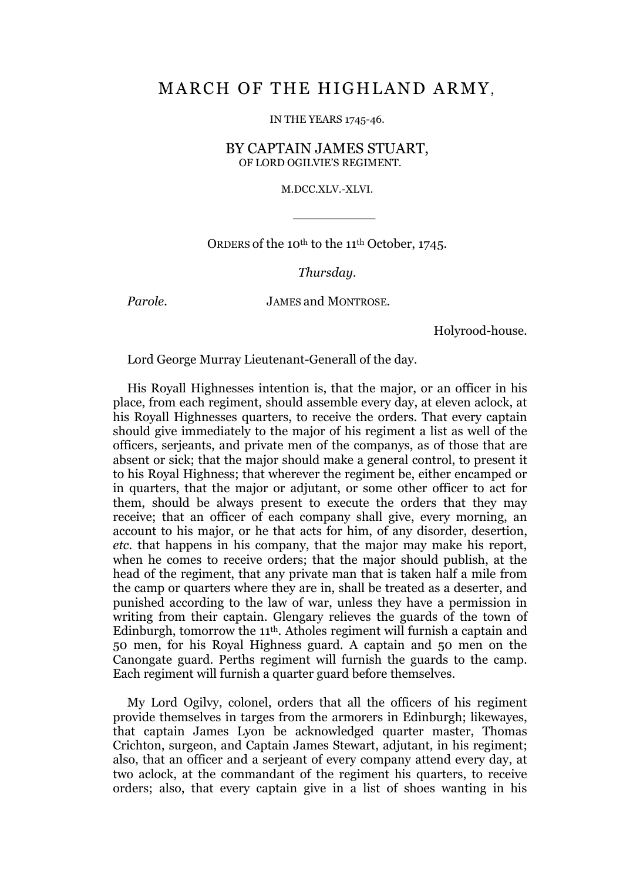# MARCH OF THE HIGHLAND ARMY,

IN THE YEARS 1745-46.

BY CAPTAIN JAMES STUART, OF LORD OGILVIE'S REGIMENT.

M.DCC.XLV.-XLVI.

ORDERS of the 10th to the 11th October, 1745.

*Thursday.*

*Parole.* JAMES and MONTROSE.

Holyrood-house.

Lord George Murray Lieutenant-Generall of the day.

His Royall Highnesses intention is, that the major, or an officer in his place, from each regiment, should assemble every day, at eleven aclock, at his Royall Highnesses quarters, to receive the orders. That every captain should give immediately to the major of his regiment a list as well of the officers, serjeants, and private men of the companys, as of those that are absent or sick; that the major should make a general control, to present it to his Royal Highness; that wherever the regiment be, either encamped or in quarters, that the major or adjutant, or some other officer to act for them, should be always present to execute the orders that they may receive; that an officer of each company shall give, every morning, an account to his major, or he that acts for him, of any disorder, desertion, *etc.* that happens in his company, that the major may make his report, when he comes to receive orders; that the major should publish, at the head of the regiment, that any private man that is taken half a mile from the camp or quarters where they are in, shall be treated as a deserter, and punished according to the law of war, unless they have a permission in writing from their captain. Glengary relieves the guards of the town of Edinburgh, tomorrow the 11th. Atholes regiment will furnish a captain and 50 men, for his Royal Highness guard. A captain and 50 men on the Canongate guard. Perths regiment will furnish the guards to the camp. Each regiment will furnish a quarter guard before themselves.

My Lord Ogilvy, colonel, orders that all the officers of his regiment provide themselves in targes from the armorers in Edinburgh; likewayes, that captain James Lyon be acknowledged quarter master, Thomas Crichton, surgeon, and Captain James Stewart, adjutant, in his regiment; also, that an officer and a serjeant of every company attend every day, at two aclock, at the commandant of the regiment his quarters, to receive orders; also, that every captain give in a list of shoes wanting in his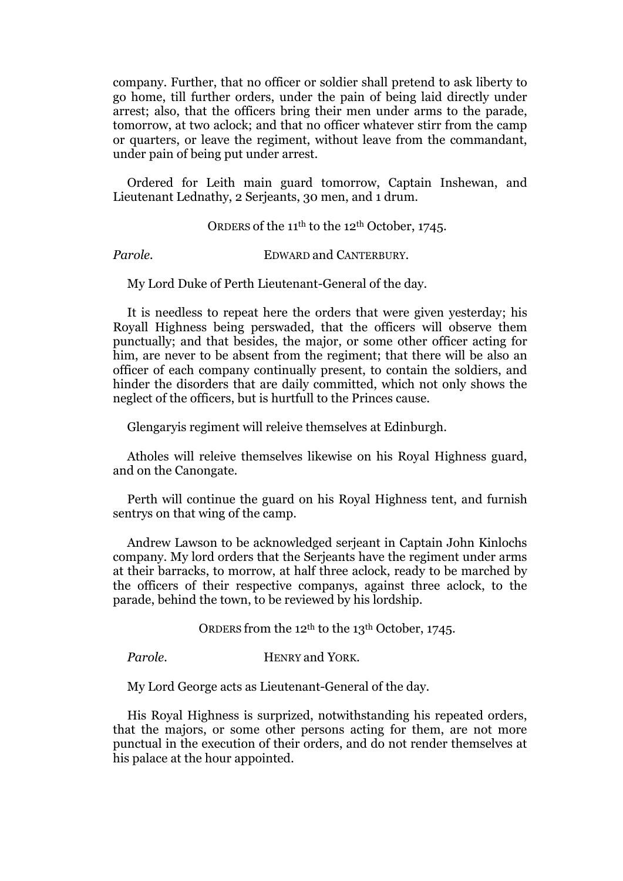company. Further, that no officer or soldier shall pretend to ask liberty to go home, till further orders, under the pain of being laid directly under arrest; also, that the officers bring their men under arms to the parade, tomorrow, at two aclock; and that no officer whatever stirr from the camp or quarters, or leave the regiment, without leave from the commandant, under pain of being put under arrest.

Ordered for Leith main guard tomorrow, Captain Inshewan, and Lieutenant Lednathy, 2 Serjeants, 30 men, and 1 drum.

ORDERS of the 11<sup>th</sup> to the 12<sup>th</sup> October, 1745.

*Parole.* **EDWARD and CANTERBURY.** 

My Lord Duke of Perth Lieutenant-General of the day.

It is needless to repeat here the orders that were given yesterday; his Royall Highness being perswaded, that the officers will observe them punctually; and that besides, the major, or some other officer acting for him, are never to be absent from the regiment; that there will be also an officer of each company continually present, to contain the soldiers, and hinder the disorders that are daily committed, which not only shows the neglect of the officers, but is hurtfull to the Princes cause.

Glengaryis regiment will releive themselves at Edinburgh.

Atholes will releive themselves likewise on his Royal Highness guard, and on the Canongate.

Perth will continue the guard on his Royal Highness tent, and furnish sentrys on that wing of the camp.

Andrew Lawson to be acknowledged serjeant in Captain John Kinlochs company. My lord orders that the Serjeants have the regiment under arms at their barracks, to morrow, at half three aclock, ready to be marched by the officers of their respective companys, against three aclock, to the parade, behind the town, to be reviewed by his lordship.

ORDERS from the 12<sup>th</sup> to the 13<sup>th</sup> October, 1745.

*Parole.* HENRY and YORK.

My Lord George acts as Lieutenant-General of the day.

His Royal Highness is surprized, notwithstanding his repeated orders, that the majors, or some other persons acting for them, are not more punctual in the execution of their orders, and do not render themselves at his palace at the hour appointed.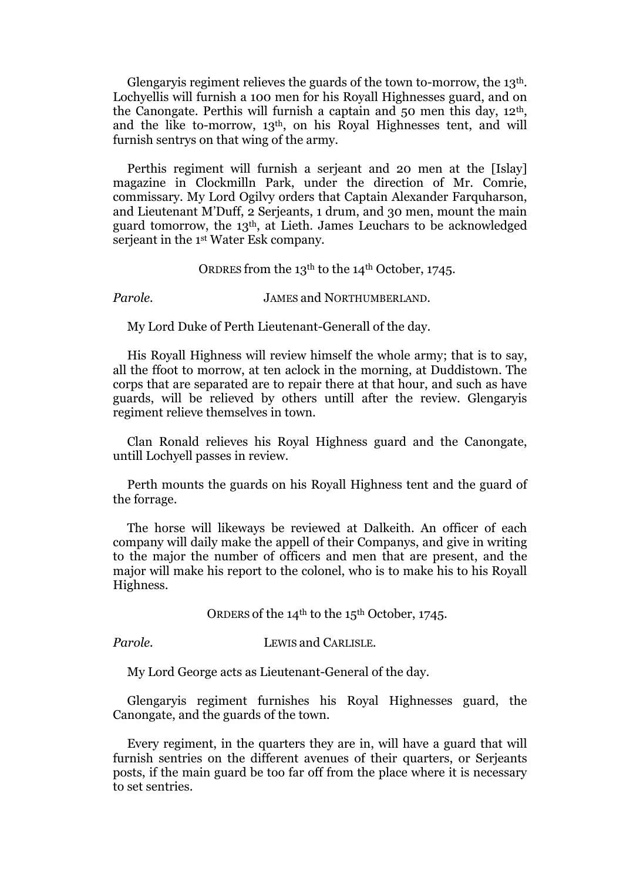Glengaryis regiment relieves the guards of the town to-morrow, the 13th. Lochyellis will furnish a 100 men for his Royall Highnesses guard, and on the Canongate. Perthis will furnish a captain and 50 men this day, 12th, and the like to-morrow, 13th, on his Royal Highnesses tent, and will furnish sentrys on that wing of the army.

Perthis regiment will furnish a serjeant and 20 men at the [Islay] magazine in Clockmilln Park, under the direction of Mr. Comrie, commissary. My Lord Ogilvy orders that Captain Alexander Farquharson, and Lieutenant M'Duff, 2 Serjeants, 1 drum, and 30 men, mount the main guard tomorrow, the 13th, at Lieth. James Leuchars to be acknowledged serjeant in the 1st Water Esk company.

ORDRES from the 13<sup>th</sup> to the 14<sup>th</sup> October, 1745.

*Parole.* **JAMES and NORTHUMBERLAND.** 

My Lord Duke of Perth Lieutenant-Generall of the day.

His Royall Highness will review himself the whole army; that is to say, all the ffoot to morrow, at ten aclock in the morning, at Duddistown. The corps that are separated are to repair there at that hour, and such as have guards, will be relieved by others untill after the review. Glengaryis regiment relieve themselves in town.

Clan Ronald relieves his Royal Highness guard and the Canongate, untill Lochyell passes in review.

Perth mounts the guards on his Royall Highness tent and the guard of the forrage.

The horse will likeways be reviewed at Dalkeith. An officer of each company will daily make the appell of their Companys, and give in writing to the major the number of officers and men that are present, and the major will make his report to the colonel, who is to make his to his Royall Highness.

ORDERS of the 14th to the 15th October, 1745.

*Parole.* LEWIS and CARLISLE.

My Lord George acts as Lieutenant-General of the day.

Glengaryis regiment furnishes his Royal Highnesses guard, the Canongate, and the guards of the town.

Every regiment, in the quarters they are in, will have a guard that will furnish sentries on the different avenues of their quarters, or Serjeants posts, if the main guard be too far off from the place where it is necessary to set sentries.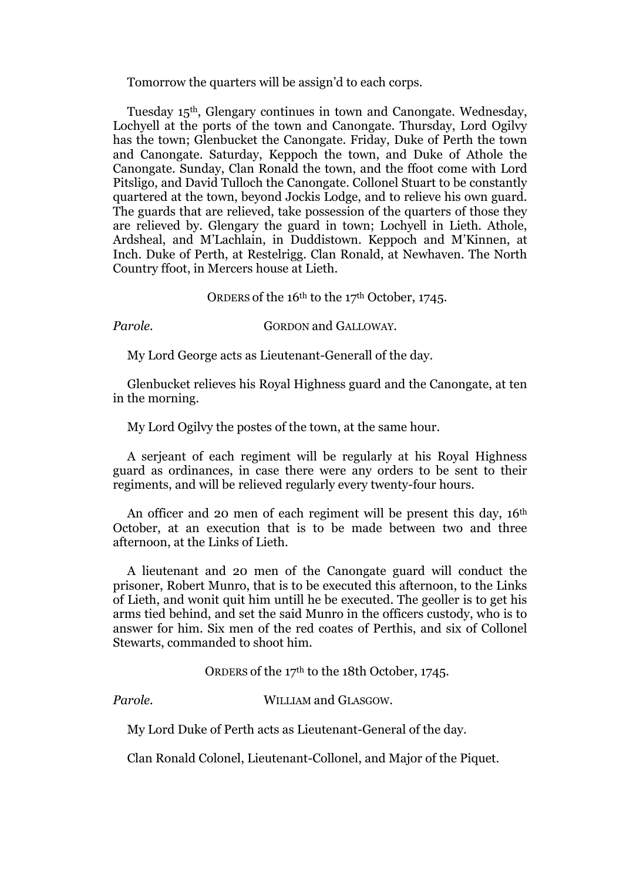Tomorrow the quarters will be assign'd to each corps.

Tuesday 15th, Glengary continues in town and Canongate. Wednesday, Lochyell at the ports of the town and Canongate. Thursday, Lord Ogilvy has the town; Glenbucket the Canongate. Friday, Duke of Perth the town and Canongate. Saturday, Keppoch the town, and Duke of Athole the Canongate. Sunday, Clan Ronald the town, and the ffoot come with Lord Pitsligo, and David Tulloch the Canongate. Collonel Stuart to be constantly quartered at the town, beyond Jockis Lodge, and to relieve his own guard. The guards that are relieved, take possession of the quarters of those they are relieved by. Glengary the guard in town; Lochyell in Lieth. Athole, Ardsheal, and M'Lachlain, in Duddistown. Keppoch and M'Kinnen, at Inch. Duke of Perth, at Restelrigg. Clan Ronald, at Newhaven. The North Country ffoot, in Mercers house at Lieth.

ORDERS of the 16th to the 17th October, 1745.

*Parole.* **GORDON** and GALLOWAY.

My Lord George acts as Lieutenant-Generall of the day.

Glenbucket relieves his Royal Highness guard and the Canongate, at ten in the morning.

My Lord Ogilvy the postes of the town, at the same hour.

A serjeant of each regiment will be regularly at his Royal Highness guard as ordinances, in case there were any orders to be sent to their regiments, and will be relieved regularly every twenty-four hours.

An officer and 20 men of each regiment will be present this day, 16<sup>th</sup> October, at an execution that is to be made between two and three afternoon, at the Links of Lieth.

A lieutenant and 20 men of the Canongate guard will conduct the prisoner, Robert Munro, that is to be executed this afternoon, to the Links of Lieth, and wonit quit him untill he be executed. The geoller is to get his arms tied behind, and set the said Munro in the officers custody, who is to answer for him. Six men of the red coates of Perthis, and six of Collonel Stewarts, commanded to shoot him.

ORDERS of the 17th to the 18th October, 1745.

*Parole.* WILLIAM and GLASGOW.

My Lord Duke of Perth acts as Lieutenant-General of the day.

Clan Ronald Colonel, Lieutenant-Collonel, and Major of the Piquet.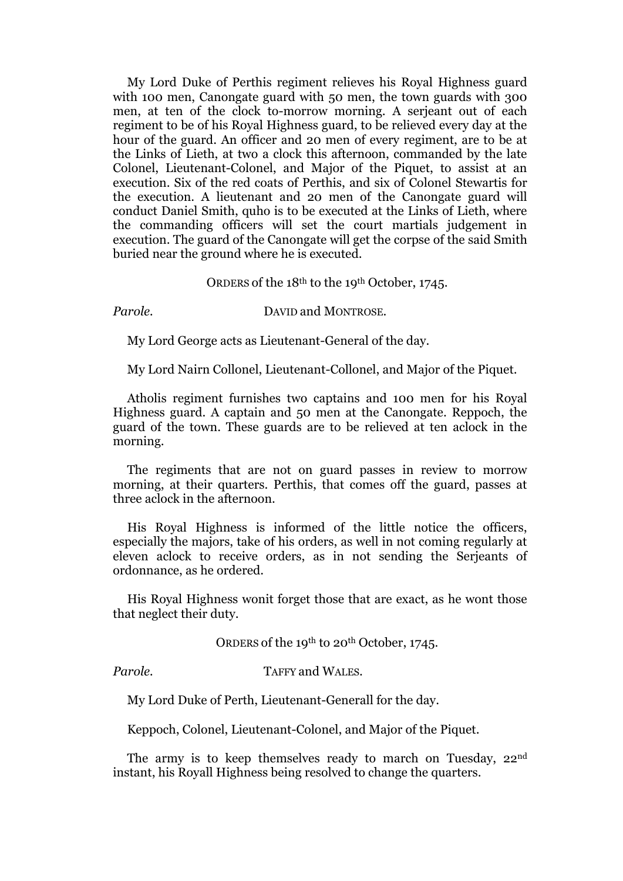My Lord Duke of Perthis regiment relieves his Royal Highness guard with 100 men, Canongate guard with 50 men, the town guards with 300 men, at ten of the clock to-morrow morning. A serjeant out of each regiment to be of his Royal Highness guard, to be relieved every day at the hour of the guard. An officer and 20 men of every regiment, are to be at the Links of Lieth, at two a clock this afternoon, commanded by the late Colonel, Lieutenant-Colonel, and Major of the Piquet, to assist at an execution. Six of the red coats of Perthis, and six of Colonel Stewartis for the execution. A lieutenant and 20 men of the Canongate guard will conduct Daniel Smith, quho is to be executed at the Links of Lieth, where the commanding officers will set the court martials judgement in execution. The guard of the Canongate will get the corpse of the said Smith buried near the ground where he is executed.

#### ORDERS of the 18th to the 19th October, 1745.

#### *Parole.* DAVID and MONTROSE.

My Lord George acts as Lieutenant-General of the day.

My Lord Nairn Collonel, Lieutenant-Collonel, and Major of the Piquet.

Atholis regiment furnishes two captains and 100 men for his Royal Highness guard. A captain and 50 men at the Canongate. Reppoch, the guard of the town. These guards are to be relieved at ten aclock in the morning.

The regiments that are not on guard passes in review to morrow morning, at their quarters. Perthis, that comes off the guard, passes at three aclock in the afternoon.

His Royal Highness is informed of the little notice the officers, especially the majors, take of his orders, as well in not coming regularly at eleven aclock to receive orders, as in not sending the Serjeants of ordonnance, as he ordered.

His Royal Highness wonit forget those that are exact, as he wont those that neglect their duty.

ORDERS of the 19<sup>th</sup> to 20<sup>th</sup> October, 1745.

*Parole.* TAFFY and WALES.

My Lord Duke of Perth, Lieutenant-Generall for the day.

Keppoch, Colonel, Lieutenant-Colonel, and Major of the Piquet.

The army is to keep themselves ready to march on Tuesday, 22<sup>nd</sup> instant, his Royall Highness being resolved to change the quarters.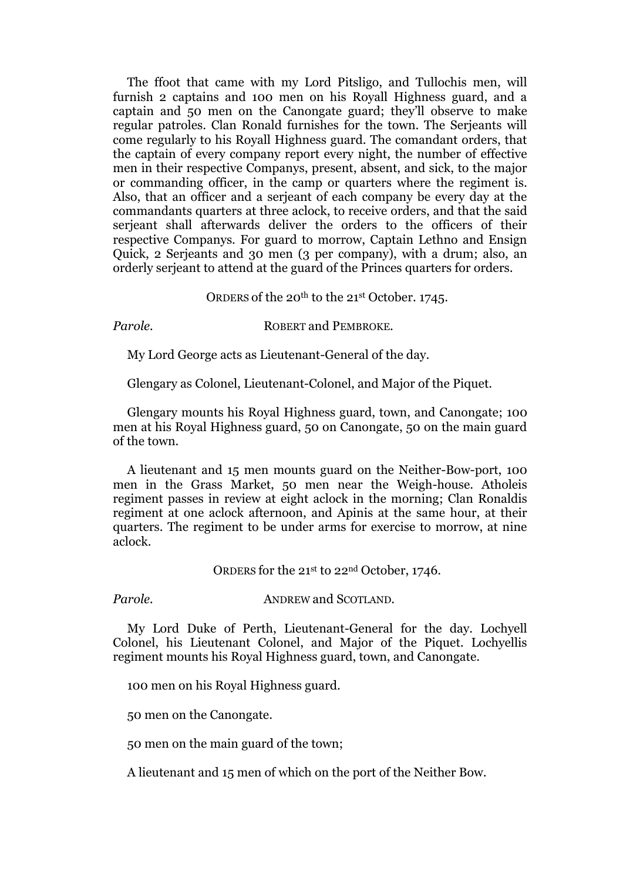The ffoot that came with my Lord Pitsligo, and Tullochis men, will furnish 2 captains and 100 men on his Royall Highness guard, and a captain and 50 men on the Canongate guard; they'll observe to make regular patroles. Clan Ronald furnishes for the town. The Serjeants will come regularly to his Royall Highness guard. The comandant orders, that the captain of every company report every night, the number of effective men in their respective Companys, present, absent, and sick, to the major or commanding officer, in the camp or quarters where the regiment is. Also, that an officer and a serjeant of each company be every day at the commandants quarters at three aclock, to receive orders, and that the said serieant shall afterwards deliver the orders to the officers of their respective Companys. For guard to morrow, Captain Lethno and Ensign Quick, 2 Serjeants and 30 men (3 per company), with a drum; also, an orderly serjeant to attend at the guard of the Princes quarters for orders.

#### ORDERS of the 20<sup>th</sup> to the 21<sup>st</sup> October. 1745.

**Parole. ROBERT and PEMBROKE.** 

My Lord George acts as Lieutenant-General of the day.

Glengary as Colonel, Lieutenant-Colonel, and Major of the Piquet.

Glengary mounts his Royal Highness guard, town, and Canongate; 100 men at his Royal Highness guard, 50 on Canongate, 50 on the main guard of the town.

A lieutenant and 15 men mounts guard on the Neither-Bow-port, 100 men in the Grass Market, 50 men near the Weigh-house. Atholeis regiment passes in review at eight aclock in the morning; Clan Ronaldis regiment at one aclock afternoon, and Apinis at the same hour, at their quarters. The regiment to be under arms for exercise to morrow, at nine aclock.

ORDERS for the 21st to 22nd October, 1746.

*Parole.* ANDREW and SCOTLAND.

My Lord Duke of Perth, Lieutenant-General for the day. Lochyell Colonel, his Lieutenant Colonel, and Major of the Piquet. Lochyellis regiment mounts his Royal Highness guard, town, and Canongate.

100 men on his Royal Highness guard.

50 men on the Canongate.

50 men on the main guard of the town;

A lieutenant and 15 men of which on the port of the Neither Bow.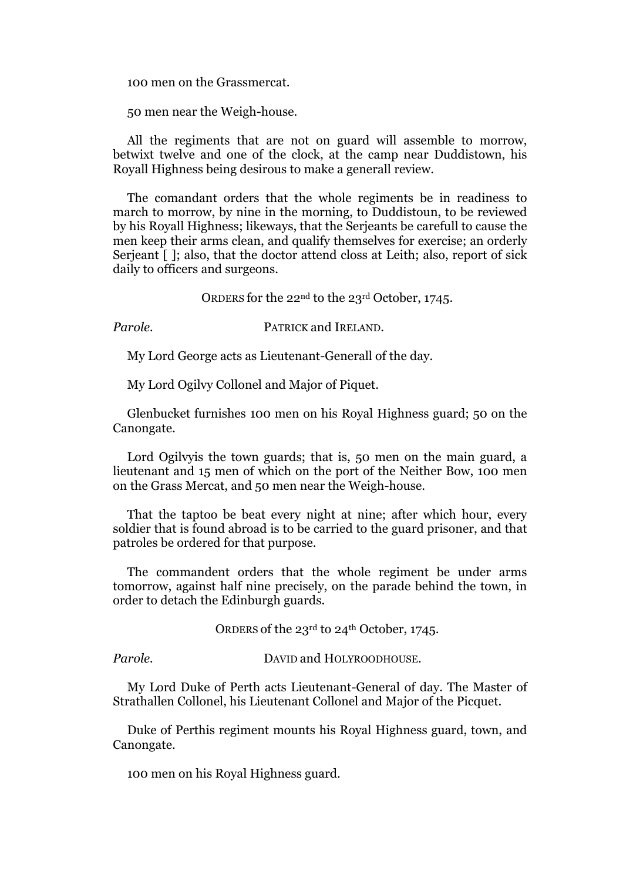100 men on the Grassmercat.

50 men near the Weigh-house.

All the regiments that are not on guard will assemble to morrow, betwixt twelve and one of the clock, at the camp near Duddistown, his Royall Highness being desirous to make a generall review.

The comandant orders that the whole regiments be in readiness to march to morrow, by nine in the morning, to Duddistoun, to be reviewed by his Royall Highness; likeways, that the Serjeants be carefull to cause the men keep their arms clean, and qualify themselves for exercise; an orderly Serjeant  $\lceil \cdot \rceil$ ; also, that the doctor attend closs at Leith; also, report of sick daily to officers and surgeons.

ORDERS for the 22nd to the 23rd October, 1745.

*Parole.* PATRICK and IRELAND.

My Lord George acts as Lieutenant-Generall of the day.

My Lord Ogilvy Collonel and Major of Piquet.

Glenbucket furnishes 100 men on his Royal Highness guard; 50 on the Canongate.

Lord Ogilvyis the town guards; that is, 50 men on the main guard, a lieutenant and 15 men of which on the port of the Neither Bow, 100 men on the Grass Mercat, and 50 men near the Weigh-house.

That the taptoo be beat every night at nine; after which hour, every soldier that is found abroad is to be carried to the guard prisoner, and that patroles be ordered for that purpose.

The commandent orders that the whole regiment be under arms tomorrow, against half nine precisely, on the parade behind the town, in order to detach the Edinburgh guards.

ORDERS of the 23<sup>rd</sup> to 24<sup>th</sup> October, 1745.

Parole. **DAVID** and HOLYROODHOUSE.

My Lord Duke of Perth acts Lieutenant-General of day. The Master of Strathallen Collonel, his Lieutenant Collonel and Major of the Picquet.

Duke of Perthis regiment mounts his Royal Highness guard, town, and Canongate.

100 men on his Royal Highness guard.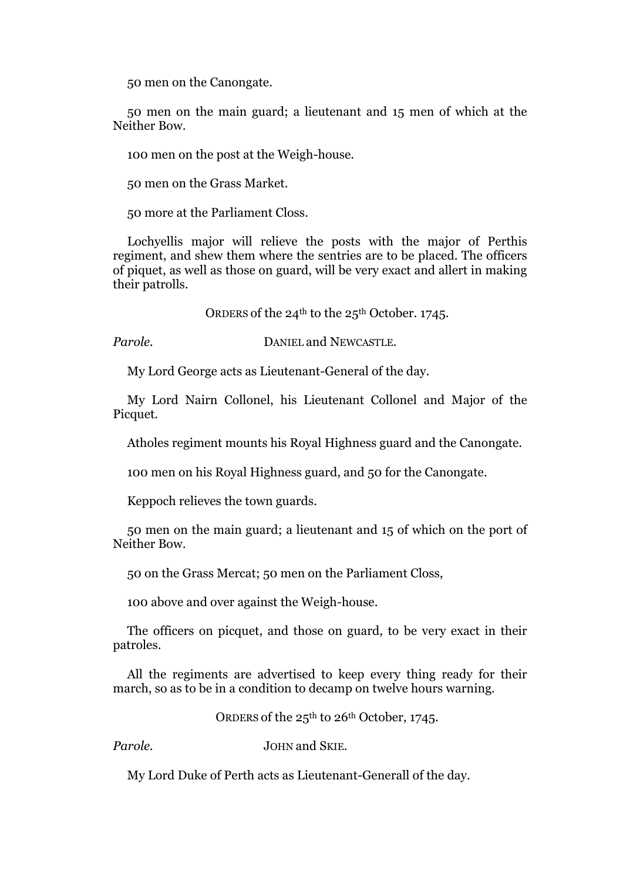50 men on the Canongate.

50 men on the main guard; a lieutenant and 15 men of which at the Neither Bow.

100 men on the post at the Weigh-house.

50 men on the Grass Market.

50 more at the Parliament Closs.

Lochyellis major will relieve the posts with the major of Perthis regiment, and shew them where the sentries are to be placed. The officers of piquet, as well as those on guard, will be very exact and allert in making their patrolls.

ORDERS of the  $24^{th}$  to the  $25^{th}$  October. 1745.

Parole. **DANIEL and NEWCASTLE.** 

My Lord George acts as Lieutenant-General of the day.

My Lord Nairn Collonel, his Lieutenant Collonel and Major of the Picquet.

Atholes regiment mounts his Royal Highness guard and the Canongate.

100 men on his Royal Highness guard, and 50 for the Canongate.

Keppoch relieves the town guards.

50 men on the main guard; a lieutenant and 15 of which on the port of Neither Bow.

50 on the Grass Mercat; 50 men on the Parliament Closs,

100 above and over against the Weigh-house.

The officers on picquet, and those on guard, to be vегу exact in their patroles.

All the regiments are advertised to keep еvегу thing ready for their march, so as to be in a condition to decamp on twelve hours warning.

ORDERS of the 25<sup>th</sup> to 26<sup>th</sup> October, 1745.

*Parole.* JOHN and SKIE.

My Lord Duke of Perth acts as Lieutenant-Generall of the day.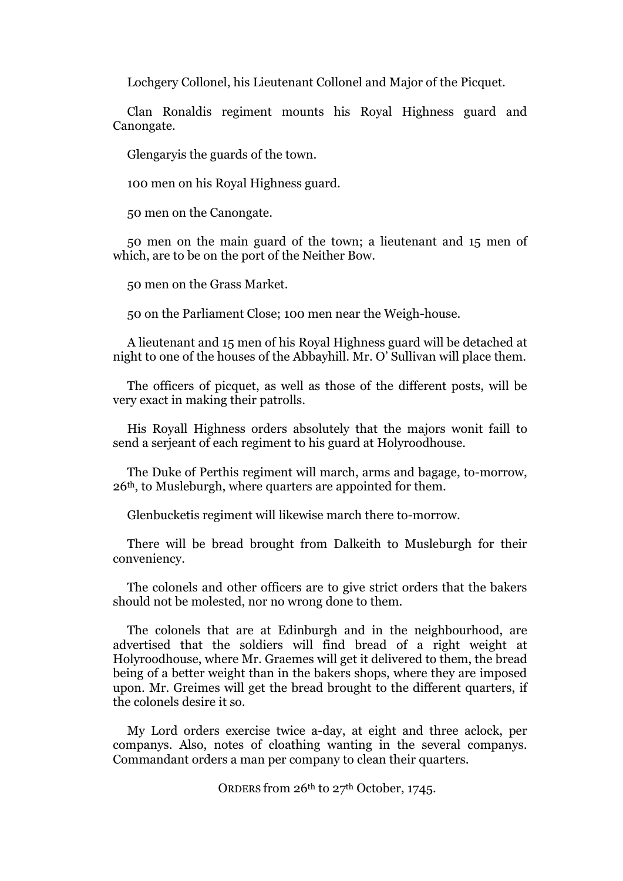Lochgery Collonel, his Lieutenant Collonel and Major of the Picquet.

Clan Ronaldis regiment mounts his Royal Highness guard and Canongate.

Glengaryis the guards of the town.

100 men on his Royal Highness guard.

50 men on the Canongate.

50 men on the main guard of the town; a lieutenant and 15 men of which, are to be on the port of the Neither Bow.

50 men on the Grass Market.

50 on the Parliament Close; 100 men near the Weigh-house.

A lieutenant and 15 men of his Royal Highness guard will be detached at night to one of the houses of the Abbayhill. Mr. O' Sullivan will place them.

The officers of picquet, as well as those of the different posts, will be very exact in making their patrolls.

His Royall Highness orders absolutely that the majors wonit faill to send a serjeant of each regiment to his guard at Holyroodhouse.

The Duke of Perthis regiment will march, arms and bagage, to-morrow, 26th, to Musleburgh, where quarters are appointed for them.

Glenbucketis regiment will likewise march there to-morrow.

There will be bread brought from Dalkeith to Musleburgh for their conveniency.

The colonels and other officers are to give strict orders that the bakers should not be molested, nor no wrong done to them.

The colonels that are at Edinburgh and in the neighbourhood, are advertised that the soldiers will find bread of a right weight at Holyroodhouse, where Mr. Graemes will get it delivered to them, the bread being of a better weight than in the bakers shops, where they are imposed upon. Mr. Greimes will get the bread brought to the different quarters, if the colonels desire it so.

My Lord orders exercise twice a-day, at eight and three aclock, per companys. Also, notes of cloathing wanting in the several companys. Commandant orders a man per company to clean their quarters.

ORDERS from 26<sup>th</sup> to 27<sup>th</sup> October, 1745.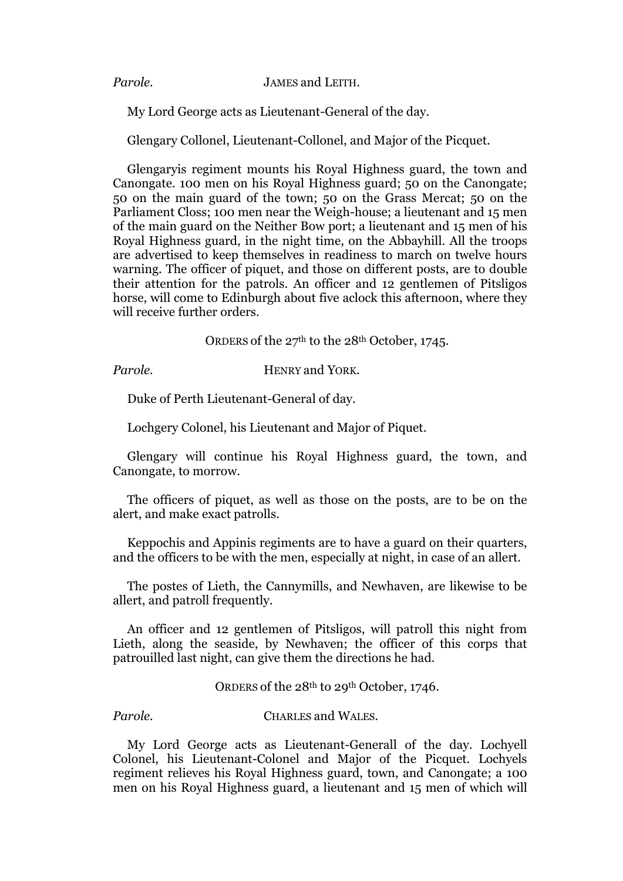*Parole.* JAMES and LEITH.

My Lord George acts as Lieutenant-General of the day.

Glengary Collonel, Lieutenant-Collonel, and Major of the Picquet.

Glengaryis regiment mounts his Royal Highness guard, the town and Canongate. 100 men on his Royal Highness guard; 50 on the Canongate; 50 on the main guard of the town; 50 on the Grass Mercat; 50 on the Parliament Closs; 100 men near the Weigh-house; a lieutenant and 15 men of the main guard on the Neither Bow port; a lieutenant and 15 men of his Royal Highness guard, in the night time, on the Abbayhill. All the troops are advertised to keep themselves in readiness to march on twelve hours warning. The officer of piquet, and those on different posts, are to double their attention for the patrols. An officer and 12 gentlemen of Pitsligos horse, will come to Edinburgh about five aclock this afternoon, where they will receive further orders.

ORDERS of the 27<sup>th</sup> to the 28<sup>th</sup> October, 1745.

*Parole.* HENRY and YORK.

Duke of Perth Lieutenant-General of day.

Lochgery Colonel, his Lieutenant and Major of Piquet.

Glengary will continue his Royal Highness guard, the town, and Canongate, to morrow.

The officers of piquet, as well as those on the posts, are to be on the alert, and make exact patrolls.

Keppochis and Appinis regiments are to have a guard on their quarters, and the officers to be with the men, especially at night, in case of an allert.

The postes of Lieth, the Cannymills, and Newhaven, are likewise to be allert, and patroll frequently.

An officer and 12 gentlemen of Pitsligos, will patroll this night from Lieth, along the seaside, by Newhaven; the officer of this corps that patrouilled last night, can give them the directions he had.

ORDERS of the 28<sup>th</sup> to 29<sup>th</sup> October, 1746.

*Parole.* CHARLES and WALES.

My Lord George acts as Lieutenant-Generall of the day. Lochyell Colonel, his Lieutenant-Colonel and Major of the Picquet. Lochyels regiment relieves his Royal Highness guard, town, and Canongate; a 100 men on his Royal Highness guard, a lieutenant and 15 men of which will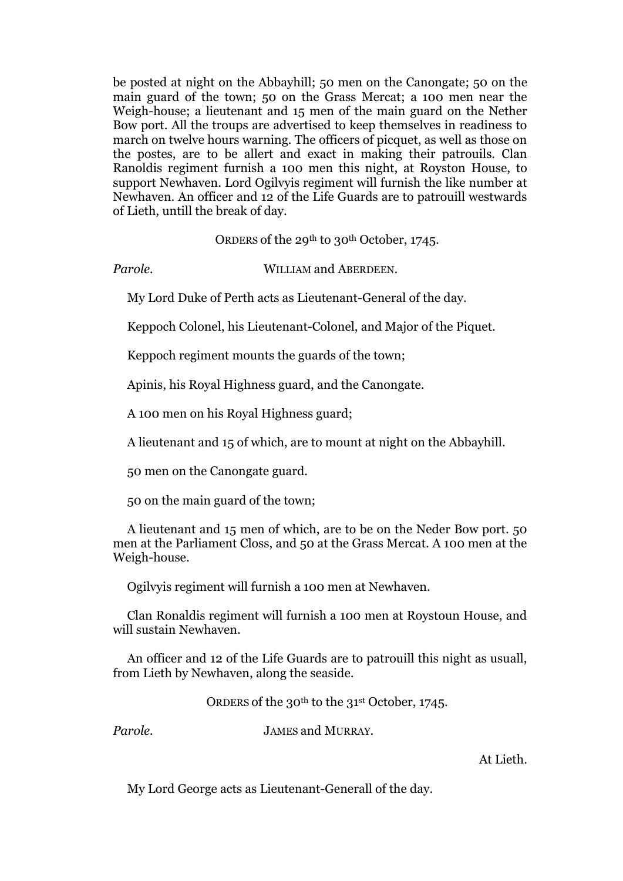be posted at night on the Abbayhill; 50 men on the Canongate; 50 on the main guard of the town; 50 on the Grass Mercat; a 100 men near the Weigh-house; a lieutenant and 15 men of the main guard on the Nether Bow port. All the troups are advertised to keep themselves in readiness to march on twelve hours warning. The officers of picquet, as well as those on the postes, are to be allert and exact in making their patrouils. Clan Ranoldis regiment furnish a 100 men this night, at Royston House, to support Newhaven. Lord Ogilvyis regiment will furnish the like number at Newhaven. An officer and 12 of the Life Guards are to patrouill westwards of Lieth, untill the break of day.

ORDERS of the 29<sup>th</sup> to 30<sup>th</sup> October, 1745.

*Parole.* WILLIAM and ABERDEEN.

My Lord Duke of Perth acts as Lieutenant-General of the day.

Keppoch Colonel, his Lieutenant-Colonel, and Major of the Piquet.

Keppoch regiment mounts the guards of the town;

Apinis, his Royal Highness guard, and the Canongate.

A 100 men on his Royal Highness guard;

A lieutenant and 15 of which, are to mount at night on the Abbayhill.

50 men on the Canongate guard.

50 on the main guard of the town;

A lieutenant and 15 men of which, are to be on the Neder Bow port. 50 men at the Parliament Closs, and 50 at the Grass Mercat. A 100 men at the Weigh-house.

Ogilvyis regiment will furnish a 100 men at Newhaven.

Clan Ronaldis regiment will furnish a 100 men at Roystoun House, and will sustain Newhaven.

An officer and 12 of the Life Guards are to patrouill this night as usuall, from Lieth by Newhaven, along the seaside.

ORDERS of the 30<sup>th</sup> to the 31<sup>st</sup> October, 1745.

*Parole.* JAMES and MURRAY.

At Lieth.

My Lord George acts as Lieutenant-Generall of the day.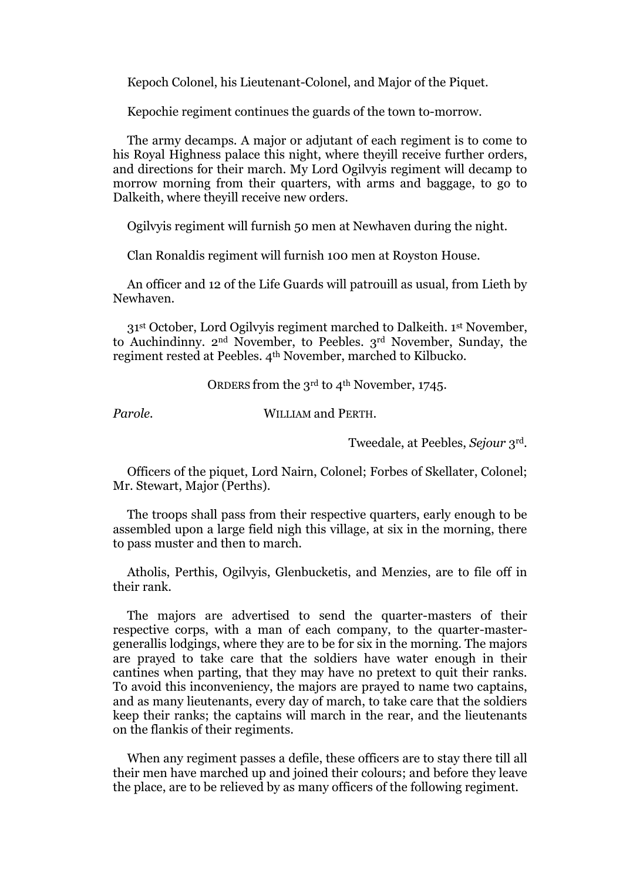Кepoch Colonel, his Lieutenant-Colonel, and Major of the Piquet.

Kepochie regiment continues the guards of the town to-morrow.

The army decamps. A major or adjutant of each regiment is to come to his Royal Highness palace this night, where theyill receive further orders, and directions for their march. My Lord Ogilvyis regiment will decamp to morrow morning from their quarters, with arms and baggage, to go to Dalkeith, where theyill receive new orders.

Ogilvyis regiment will furnish 50 men at Newhaven during the night.

Clan Ronaldis regiment will furnish 100 men at Royston House.

An officer and 12 of the Life Guards will patrouill as usual, from Lieth by Newhaven.

31<sup>st</sup> October, Lord Ogilvyis regiment marched to Dalkeith. 1<sup>st</sup> November, to Auchindinny. 2nd November, to Peebles. 3rd November, Sunday, the regiment rested at Peebles. 4th November, marched to Kilbucko.

ORDERS from the 3<sup>rd</sup> to 4<sup>th</sup> November, 1745.

*Parole.* WILLIAM and PERTH.

Tweedale, at Peebles, *Sejour* 3rd.

Officers of the piquet, Lord Nairn, Colonel; Forbes of Skellater, Colonel; Mr. Stewart, Major (Perths).

The troops shall pass from their respective quarters, early enough to be assembled upon a large field nigh this village, at six in the morning, there to pass muster and then to march.

Atholis, Perthis, Ogilvyis, Glenbucketis, and Menzies, are to file off in their rank.

The majors are advertised to send the quarter-masters of their respective corps, with a man of each company, to the quarter-mastergenerallis lodgings, where they are to be for six in the morning. The majors are prayed to take care that the soldiers have water enough in their cantines when parting, that they may have no pretext to quit their ranks. To avoid this inconveniency, the majors are prayed to name two captains, and as many lieutenants, every day of march, to take care that the soldiers keep their ranks; the captains will march in the rear, and the lieutenants on the flankis of their regiments.

When any regiment passes a defile, these officers are to stay there till all their men have marched up and joined their colours; and before they leave the place, are to be relieved by as many officers of the following regiment.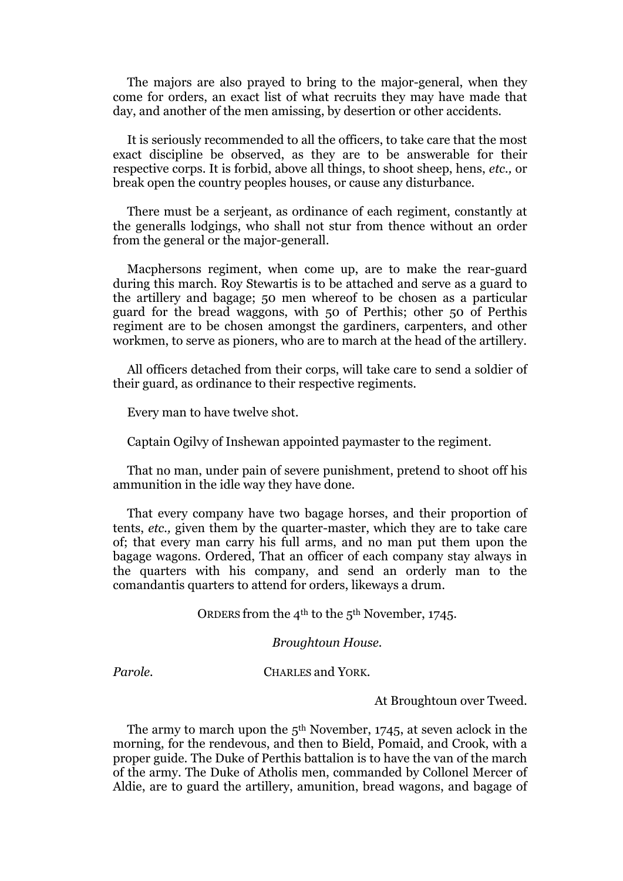The majors are also prayed to bring to the major-general, when they come for orders, an exact list of what recruits they may have made that day, and another of the men amissing, by desertion or other accidents.

It is seriously recommended to all the officers, to take care that the most exact discipline be observed, as they are to be answerable for their respective corps. It is forbid, above all things, to shoot sheep, hens, *etc.,* or break open the country peoples houses, or cause any disturbance.

There must be a serjeant, as ordinance of each regiment, constantly at the generalls lodgings, who shall not stur from thence without an order from the general or the major-generall.

Macphersons regiment, when come up, are to make the rear-guard during this march. Roy Stewartis is to be attached and serve as a guard to the artillery and bagage; 50 men whereof to be chosen as a particular guard for the bread waggons, with 50 of Perthis; other 50 of Perthis regiment are to be chosen amongst the gardiners, carpenters, and other workmen, to serve as pioners, who are to march at the head of the artillery.

All officers detached from their corps, will take care to send a soldier of their guard, as ordinance to their respective regiments.

Every man to have twelve shot.

Captain Ogilvy of Inshewan appointed paymaster to the regiment.

That no man, under pain of severe punishment, pretend to shoot off his ammunition in the idle way they have done.

That every company have two bagage horses, and their proportion of tents, *etc.,* given them by the quarter-master, which they are to take care of; that every man carry his full arms, and no man put them upon the bagage wagons. Ordered, That an officer of each company stay always in the quarters with his company, and send an orderly man to the comandantis quarters to attend for orders, likeways a drum.

ORDERS from the 4th to the 5th November, 1745.

*Broughtoun House.*

#### *Parole.* CHARLES and YORK.

At Broughtoun over Tweed.

The army to march upon the  $5<sup>th</sup>$  November, 1745, at seven aclock in the morning, for the rendevous, and then to Bield, Pomaid, and Crook, with a proper guide. The Duke of Perthis battalion is to have the van of the march of the army. The Duke of Atholis men, commanded by Collonel Mercer of Aldie, are to guard the artillery, amunition, bread wagons, and bagage of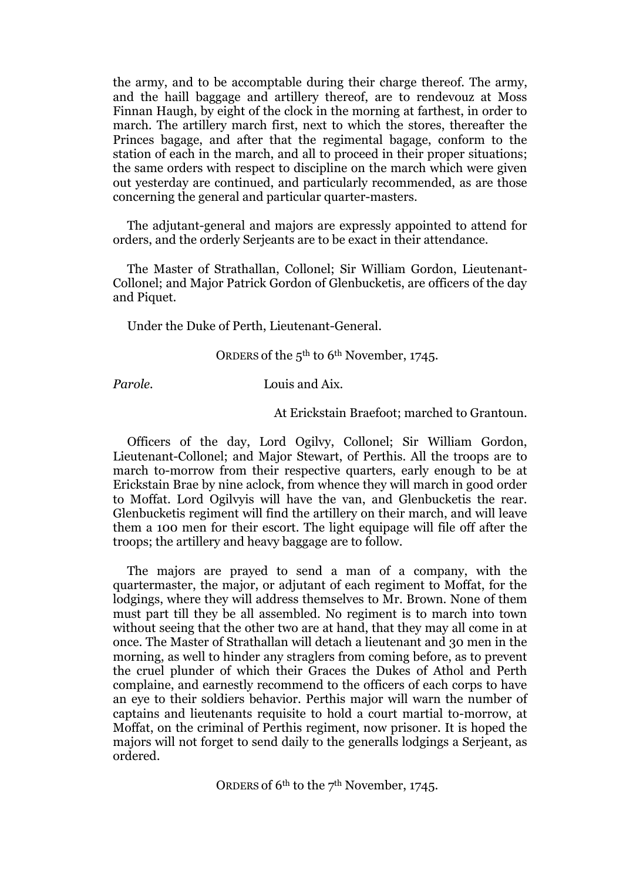the army, and to be accomptable during their charge thereof. The army, and the haill baggage and artillery thereof, are to rendevouz at Moss Finnan Haugh, by eight of the clock in the morning at farthest, in order to march. The artillery march first, next to which the stores, thereafter the Princes bagage, and after that the regimental bagage, conform to the station of each in the march, and all to proceed in their proper situations; the same orders with respect to discipline on the march which were given out yesterday are continued, and particularly recommended, as are those concerning the general and particular quarter-masters.

The adjutant-general and majors are expressly appointed to attend for orders, and the orderly Serjeants are to be exact in their attendance.

The Master of Strathallan, Collonel; Sir William Gordon, Lieutenant-Collonel; and Major Patrick Gordon of Glenbucketis, are officers of the day and Piquet.

Under the Duke of Perth, Lieutenant-General.

ORDERS of the 5th to 6th November, 1745.

*Parole.* Louis and Aix.

At Erickstain Braefoot; marched to Grantoun.

Officers of the day, Lord Ogilvy, Collonel; Sir William Gordon, Lieutenant-Collonel; and Major Stewart, of Perthis. All the troops are to march to-morrow from their respective quarters, early enough to be at Erickstain Brae by nine aclock, from whence they will march in good order to Moffat. Lord Ogilvyis will have the van, and Glenbucketis the rear. Glenbucketis regiment will find the artillery on their march, and will leave them a 100 men for their escort. The light equipage will file off after the troops; the artillery and heavy baggage are to follow.

The majors are prayed to send a man of a company, with the quartermaster, the major, or adjutant of each regiment to Moffat, for the lodgings, where they will address themselves to Mr. Brown. None of them must part till they be all assembled. No regiment is to march into town without seeing that the other two are at hand, that they may all come in at once. The Master of Strathallan will detach a lieutenant and 30 men in the morning, as well to hinder any straglers from coming before, as to prevent the cruel plunder of which their Graces the Dukes of Athol and Perth complaine, and earnestly recommend to the officers of each corps to have an eye to their soldiers behavior. Perthis major will warn the number of captains and lieutenants requisite to hold a court martial to-morrow, at Moffat, on the criminal of Perthis regiment, now prisoner. It is hoped the majors will not forget to send daily to the generalls lodgings a Serjeant, as ordered.

ORDERS of 6th to the 7th November, 1745.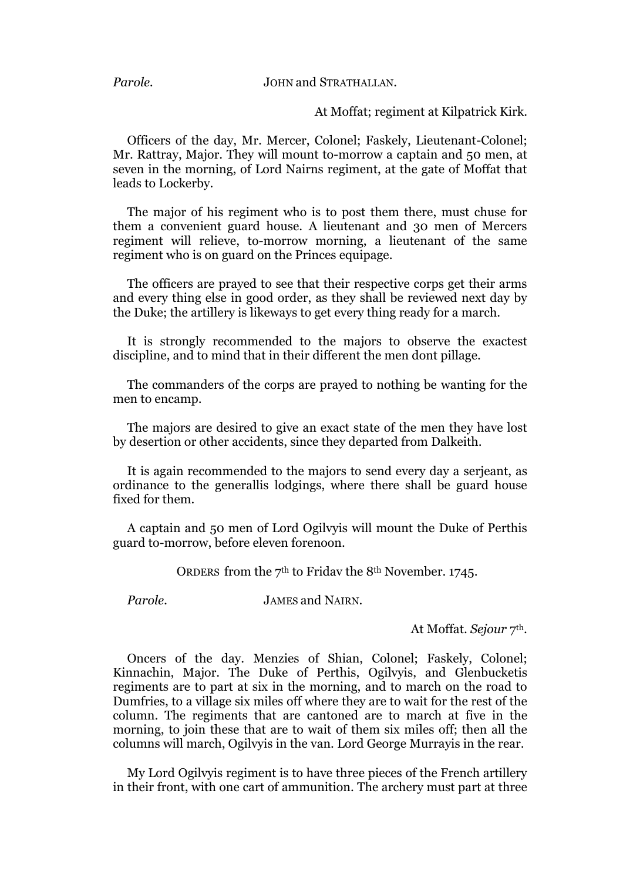#### *Parole.* JOHN and STRATHALLAN.

At Moffat; regiment at Kilpatrick Kirk.

Officers of the day, Mr. Mercer, Colonel; Faskely, Lieutenant-Colonel; Mr. Rattray, Major. They will mount to-morrow a captain and 50 men, at seven in the morning, of Lord Nairns regiment, at the gate of Moffat that leads to Lockerby.

The major of his regiment who is to post them there, must chuse for them a convenient guard house. A lieutenant and 30 men of Mercers regiment will relieve, to-morrow morning, a lieutenant of the same regiment who is on guard on the Princes equipage.

The officers are prayed to see that their respective corps get their arms and every thing else in good order, as they shall be reviewed next day by the Duke; the artillery is likeways to get every thing ready for a march.

It is strongly recommended to the majors to observe the exactest discipline, and to mind that in their different the men dont pillage.

The commanders of the corps are prayed to nothing be wanting for the men to encamp.

The majors are desired to give an exact state of the men they have lost by desertion or other accidents, since they departed from Dalkeith.

It is again recommended to the majors to send every day a serjeant, as ordinance to the generallis lodgings, where there shall be guard house fixed for them.

A captain and 50 men of Lord Ogilvyis will mount the Duke of Perthis guard to-morrow, before eleven forenoon.

ORDERS from the 7th to Fridav the 8th November. 1745.

*Parole.* JAMES and NAIRN.

At Moffat. *Sejour* 7th.

Oncers of the day. Menzies of Shian, Colonel; Faskely, Colonel; Kinnachin, Major. The Duke of Perthis, Ogilvyis, and Glenbucketis regiments are to part at six in the morning, and to march on the road to Dumfries, to a village six miles off where they are to wait for the rest of the column. The regiments that are cantoned are to march at five in the morning, to join these that are to wait of them six miles off; then all the columns will march, Ogilvyis in the van. Lord George Murrayis in the rear.

My Lord Ogilvyis regiment is to have three pieces of the French artillery in their front, with one cart of ammunition. The archery must part at three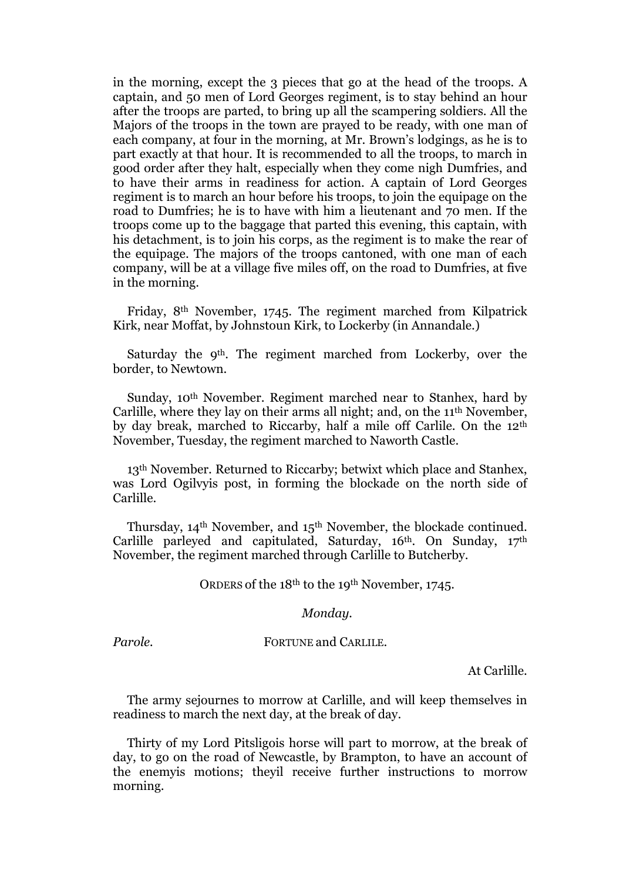in the morning, except the 3 pieces that go at the head of the troops. A captain, and 50 men of Lord Georges regiment, is to stay behind an hour after the troops are parted, to bring up all the scampering soldiers. All the Majors of the troops in the town are prayed to be ready, with one man of each company, at four in the morning, at Mr. Brown's lodgings, as he is to part exactly at that hour. It is recommended to all the troops, to march in good order after they halt, especially when they come nigh Dumfries, and to have their arms in readiness for action. A captain of Lord Georges regiment is to march an hour before his troops, to join the equipage on the road to Dumfries; he is to have with him a lieutenant and 70 men. If the troops come up to the baggage that parted this evening, this captain, with his detachment, is to join his corps, as the regiment is to make the rear of the equipage. The majors of the troops cantoned, with one man of each company, will be at a village five miles off, on the road to Dumfries, at five in the morning.

Friday, 8th November, 1745. The regiment marched from Kilpatrick Kirk, near Moffat, by Johnstoun Kirk, to Lockerby (in Annandale.)

Saturday the 9<sup>th</sup>. The regiment marched from Lockerby, over the border, to Newtown.

Sunday, 10th November. Regiment marched near to Stanhex, hard by Carlille, where they lay on their arms all night; and, on the 11th November, by day break, marched to Riccarby, half a mile off Carlile. On the 12th November, Tuesday, the regiment marched to Naworth Castle.

13<sup>th</sup> November. Returned to Riccarby; betwixt which place and Stanhex, was Lord Ogilvyis post, in forming the blockade on the north side of Carlille.

Thursday, 14th November, and 15th November, the blockade continued. Carlille parleyed and capitulated, Saturday, 16<sup>th</sup>. On Sunday, 17<sup>th</sup> November, the regiment marched through Carlille to Butcherby.

ORDERS of the 18th to the 19th November, 1745.

#### *Monday.*

*Parole.* FORTUNE and CARLILE.

At Carlille.

The army sejournes to morrow at Carlille, and will keep themselves in readiness to march the next day, at the break of day.

Thirty of my Lord Pitsligois horse will part to morrow, at the break of day, to go on the road of Newcastle, by Brampton, to have an account of the enemyis motions; theyil receive further instructions to morrow morning.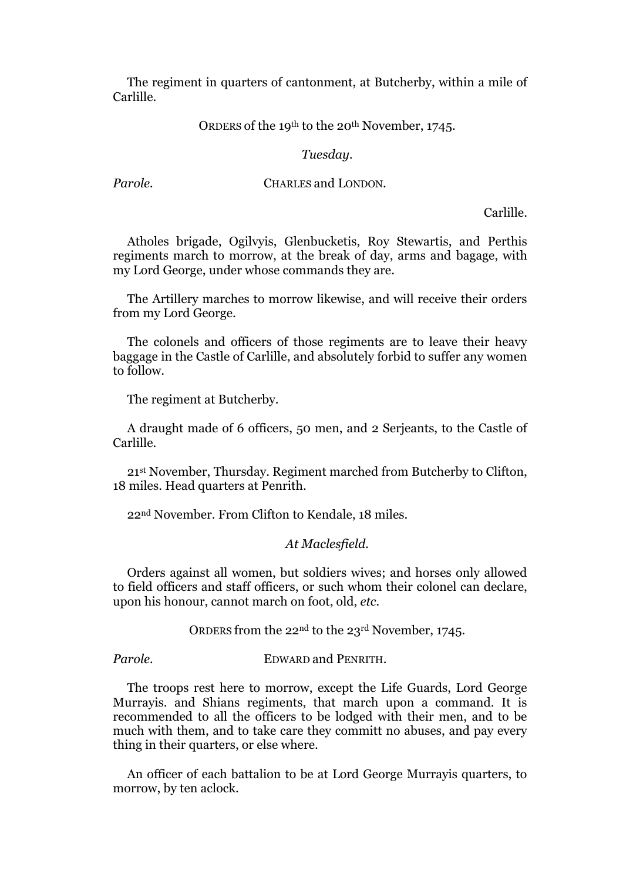The regiment in quarters of cantonment, at Butcherby, within a mile of Carlille.

#### ORDERS of the 19th to the 20th November, 1745.

#### *Tuesday.*

#### *Parole.* **CHARLES and LONDON.**

Carlille.

Atholes brigade, Ogilvyis, Glenbucketis, Roy Stewartis, and Perthis regiments march to morrow, at the break of day, arms and bagage, with my Lord George, under whose commands they are.

The Artillery marches to morrow likewise, and will receive their orders from my Lord George.

The colonels and officers of those regiments are to leave their heavy baggage in the Castle of Carlille, and absolutely forbid to suffer any women to follow.

The regiment at Butcherby.

A draught made of 6 officers, 50 men, and 2 Serjeants, to the Castle of Carlille.

21st November, Thursday. Regiment marched from Butcherby to Clifton, 18 miles. Head quarters at Penrith.

22nd November. From Clifton to Kendale, 18 miles.

#### *At Maclesfield.*

Orders against all women, but soldiers wives; and horses only allowed to field officers and staff officers, or such whom their colonel can declare, upon his honour, cannot march on foot, old, *etc.*

ORDERS from the 22nd to the 23rd November, 1745.

*Parole.* EDWARD and PENRITH.

The troops rest here to morrow, except the Life Guards, Lord George Murrayis. and Shians regiments, that march upon a command. It is recommended to all the officers to be lodged with their men, and to be much with them, and to take care they committ no abuses, and pay every thing in their quarters, or else where.

An officer of each battalion to be at Lord George Murrayis quarters, to morrow, by ten aclock.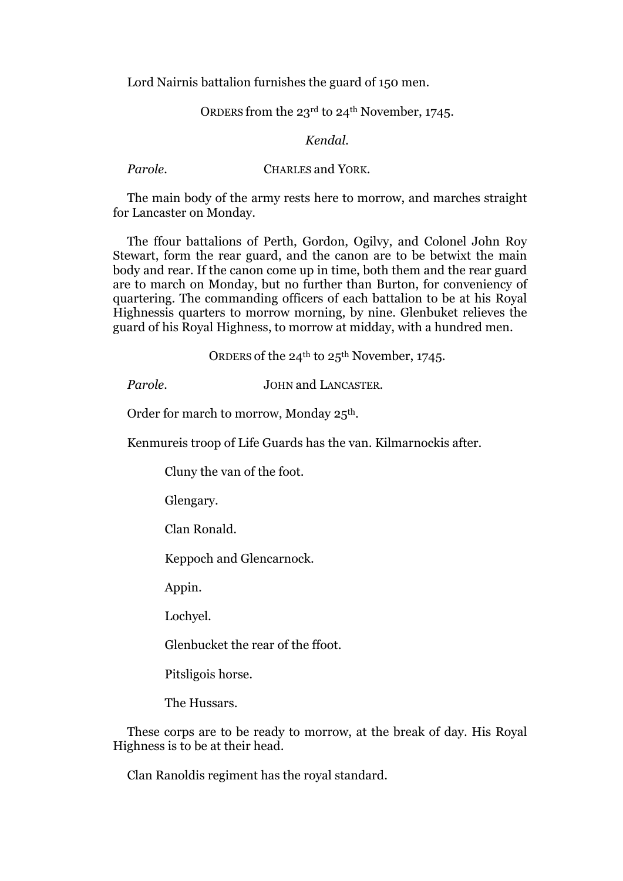Lord Nairnis battalion furnishes the guard of 150 men.

### ORDERS from the 23rd to 24th November, 1745.

#### *Kendal.*

*Parole.* **CHARLES and YORK.** 

The main body of the army rests here to morrow, and marches straight for Lancaster on Monday.

The ffour battalions of Perth, Gordon, Ogilvy, and Colonel John Roy Stewart, form the rear guard, and the canon are to be betwixt the main body and rear. If the canon come up in time, both them and the rear guard are to march on Monday, but no further than Burton, for conveniency of quartering. The commanding officers of each battalion to be at his Royal Highnessis quarters to morrow morning, by nine. Glenbuket relieves the guard of his Royal Highness, to morrow at midday, with a hundred men.

ORDERS of the  $24^{th}$  to  $25^{th}$  November, 1745.

*Parole.* JOHN and LANCASTER.

Order for march to morrow, Monday 25<sup>th</sup>.

Kenmureis troop of Life Guards has the van. Kilmarnockis after.

Cluny the van of the foot.

Glengary.

Clan Ronald.

Keppoch and Glencarnock.

Appin.

Lochyel.

Glenbucket the rear of the ffoot.

Pitsligois horse.

The Hussars.

These corps are to be ready to morrow, at the break of day. His Royal Highness is to be at their head.

Clan Ranoldis regiment has the royal standard.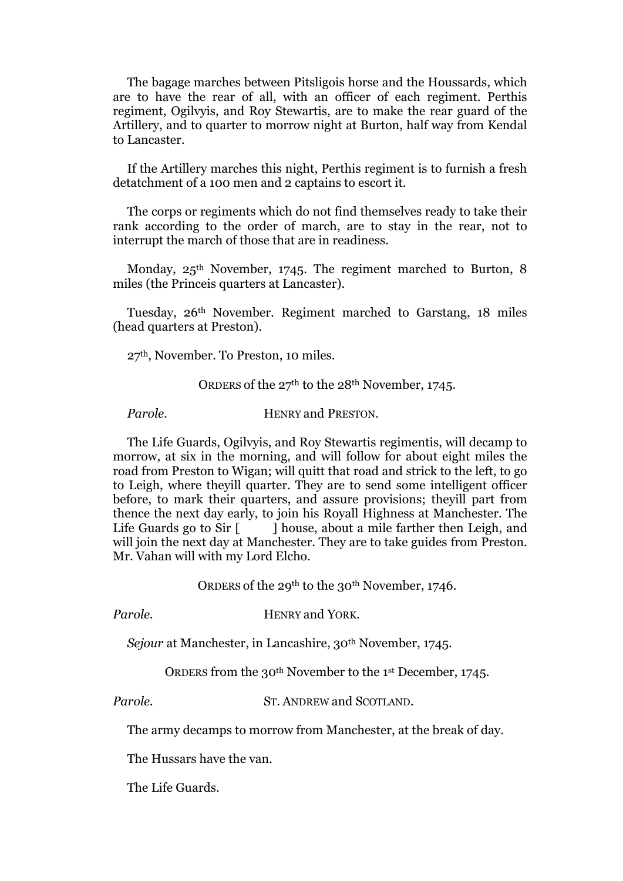The bagage marches between Pitsligois horse and the Houssards, which are to have the rear of all, with an officer of each regiment. Perthis regiment, Ogilvyis, and Roy Stewartis, are to make the rear guard of the Artillery, and to quarter to morrow night at Burton, half way from Kendal to Lancaster.

If the Artillery marches this night, Perthis regiment is to furnish a fresh detatchment of a 100 men and 2 captains to escort it.

The corps or regiments which do not find themselves ready to take their rank according to the order of march, are to stay in the rear, not to interrupt the march of those that are in readiness.

Monday, 25<sup>th</sup> November, 1745. The regiment marched to Burton, 8 miles (the Princeis quarters at Lancaster).

Tuesday, 26th November. Regiment marched to Garstang, 18 miles (head quarters at Preston).

27th, November. To Preston, 10 miles.

ORDERS of the 27th to the 28th November, 1745.

*Parole.* HENRY and PRESTON.

The Life Guards, Ogilvyis, and Roy Stewartis regimentis, will decamp to morrow, at six in the morning, and will follow for about eight miles the road from Preston to Wigan; will quitt that road and strick to the left, to go to Leigh, where theyill quarter. They are to send some intelligent officer before, to mark their quarters, and assure provisions; theyill part from thence the next day early, to join his Royall Highness at Manchester. The Life Guards go to Sir  $\lceil \cdot \rceil$  house, about a mile farther then Leigh, and will join the next day at Manchester. They are to take guides from Preston. Mr. Vahan will with my Lord Elcho.

ORDERS of the 29<sup>th</sup> to the 30<sup>th</sup> November, 1746.

*Parole.* HENRY and YORK.

*Sejour* at Manchester, in Lancashire, 30th November, 1745.

ORDERS from the 30th November to the 1st December, 1745.

*Parole.* ST. ANDREW and SCOTLAND.

The army decamps to morrow from Manchester, at the break of day.

The Hussars have the van.

The Life Guards.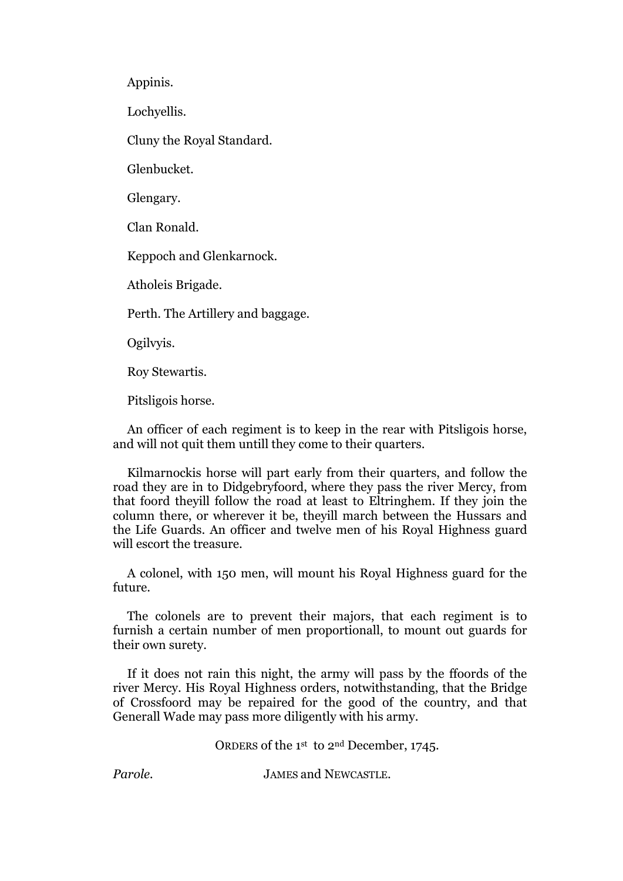Appinis.

Lochyellis.

Cluny the Royal Standard.

Glenbucket.

Glengary.

Clan Ronald.

Keppoch and Glenkarnock.

Atholeis Brigade.

Perth. The Artillery and baggage.

Ogilvyis.

Roy Stewartis.

Pitsligois horse.

An officer of each regiment is to keep in the rear with Pitsligois horse, and will not quit them untill they come to their quarters.

Kilmarnockis horse will part early from their quarters, and follow the road they are in to Didgebryfoord, where they pass the river Mercy, from that foord theyill follow the road at least to Eltringhem. If they join the column there, or wherever it be, theyill march between the Hussars and the Life Guards. An officer and twelve men of his Royal Highness guard will escort the treasure.

A colonel, with 150 men, will mount his Royal Highness guard for the future.

The colonels are to prevent their majors, that each regiment is to furnish a certain number of men proportionall, to mount out guards for their own surety.

If it does not rain this night, the army will pass by the ffoords of the river Mercy. His Royal Highness orders, notwithstanding, that the Bridge of Crossfoord may be repaired for the good of the country, and that Generall Wade may pass more diligently with his army.

ORDERS of the 1st to 2nd December, 1745.

*Parole.* JAMES and NEWCASTLE.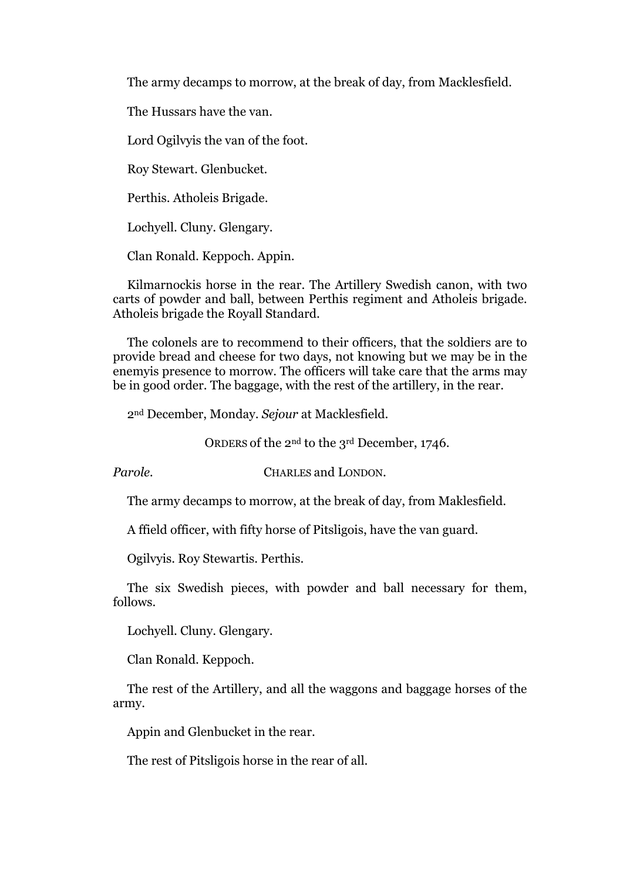The army decamps to morrow, at the break of day, from Macklesfield.

The Hussars have the van.

Lord Ogilvyis the van of the foot.

Roy Stewart. Glenbucket.

Perthis. Atholeis Brigade.

Lochyell. Cluny. Glengary.

Clan Ronald. Keppoch. Appin.

Kilmarnockis horse in the rear. The Artillery Swedish canon, with two carts of powder and ball, between Perthis regiment and Atholeis brigade. Atholeis brigade the Royall Standard.

The colonels are to recommend to their officers, that the soldiers are to provide bread and cheese for two days, not knowing but we may be in the enemyis presence to morrow. The officers will take care that the arms may be in good order. The baggage, with the rest of the artillery, in the rear.

2nd December, Monday. *Sejour* at Macklesfield.

ORDERS of the 2nd to the 3rd December, 1746.

*Parole.* CHARLES and LONDON.

The army decamps to morrow, at the break of day, from Maklesfield.

A ffield officer, with fifty horse of Pitsligois, have the van guard.

Ogilvyis. Roy Stewartis. Perthis.

The six Swedish pieces, with powder and ball necessary for them, follows.

Lochyell. Cluny. Glengary.

Clan Ronald. Keppoch.

The rest of the Artillery, and all the waggons and baggage horses of the army.

Appin and Glenbucket in the rear.

The rest of Pitsligois horse in the rear of all.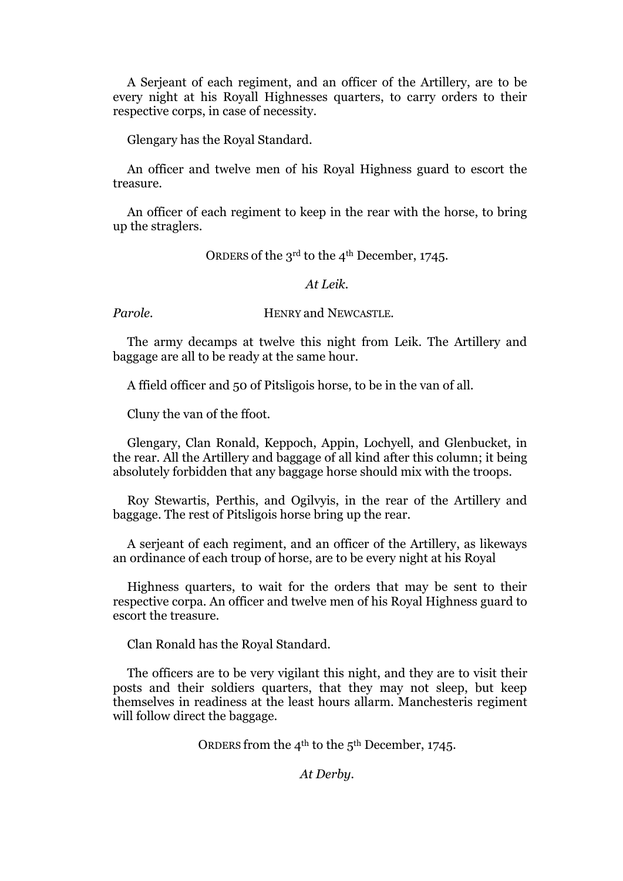A Serjeant of each regiment, and an officer of the Artillery, are to be every night at his Royall Highnesses quarters, to carry orders to their respective corps, in case of necessity.

Glengary has the Royal Standard.

An officer and twelve men of his Royal Highness guard to escort the treasure.

An officer of each regiment to keep in the rear with the horse, to bring up the straglers.

ORDERS of the 3rd to the 4th December, 1745.

#### *At Leik.*

*Parole.* **HENRY and NEWCASTLE.** 

The army decamps at twelve this night from Leik. The Artillery and baggage are all to be ready at the same hour.

A ffield officer and 50 of Pitsligois horse, to be in the van of all.

Cluny the van of the ffoot.

Glengary, Clan Ronald, Keppoch, Appin, Lochyell, and Glenbucket, in the rear. All the Artillery and baggage of all kind after this column; it being absolutely forbidden that any baggage horse should mix with the troops.

Roy Stewartis, Perthis, and Ogilvyis, in the rear of the Artillery and baggage. The rest of Pitsligois horse bring up the rear.

A serjeant of each regiment, and an officer of the Artillery, as likeways an ordinance of each troup of horse, are to be every night at his Royal

Highness quarters, to wait for the orders that may be sent to their respective corpa. An officer and twelve men of his Royal Highness guard to escort the treasure.

Clan Ronald has the Royal Standard.

The officers are to be vеrу vigilant this night, and they are to visit their posts and their soldiers quarters, that they may not sleep, but keep themselves in readiness at the least hours allarm. Manchesteris regiment will follow direct the baggage.

ORDERS from the 4th to the 5th December, 1745.

*At Derby.*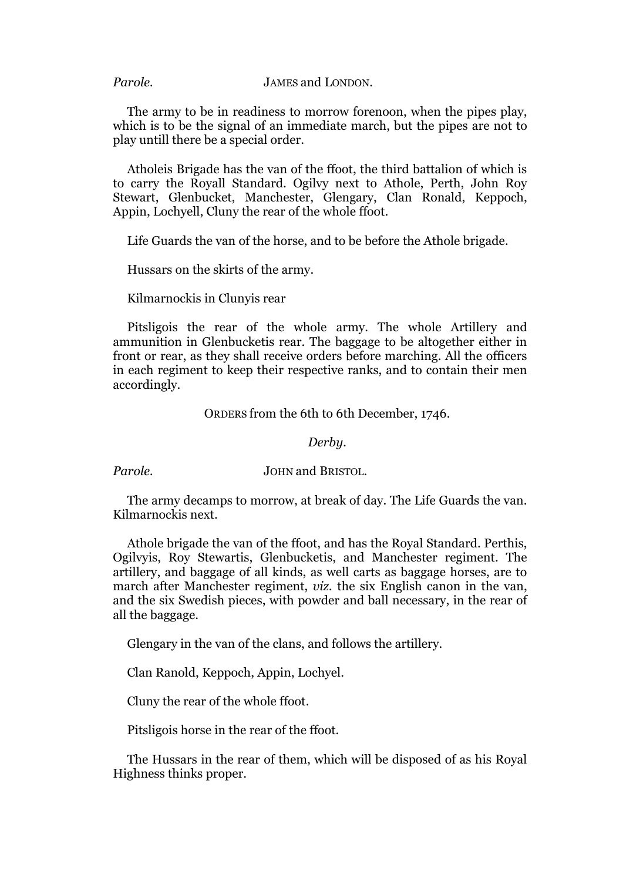*Parole.* JAMES and LONDON.

The army to be in readiness to morrow forenoon, when the pipes play, which is to be the signal of an immediate march, but the pipes are not to play untill there be a special order.

Atholeis Brigade has the van of the ffoot, the third battalion of which is to carry the Royall Standard. Ogilvy next to Athole, Perth, John Roy Stewart, Glenbucket, Manchester, Glengary, Clan Ronald, Keppoch, Appin, Lochyell, Cluny the rear of the whole ffoot.

Life Guards the van of the horse, and to be before the Athole brigade.

Hussars on the skirts of the army.

Kilmarnockis in Clunyis rear

Pitsligois the rear of the whole army. The whole Artillery and ammunition in Glenbucketis rear. The baggage to be altogether either in front or rear, as they shall receive orders before marching. All the officers in each regiment to keep their respective ranks, and to contain their men accordingly.

ORDERS from the 6th to 6th December, 1746.

#### *Derby.*

*Parole.* JOHN and BRISTOL.

The army decamps to morrow, at break of day. The Life Guards the van. Kilmarnockis next.

Athole brigade the van of the ffoot, and has the Royal Standard. Perthis, Ogilvyis, Roy Stewartis, Glenbucketis, and Manchester regiment. The artillery, and baggage of all kinds, as well carts as baggage horses, are to march after Manchester regiment, *viz.* the six English canon in the van, and the six Swedish pieces, with powder and ball necessary, in the rear of all the baggage.

Glengary in the van of the clans, and follows the artillery.

Clan Ranold, Keppoch, Appin, Lochyel.

Cluny the rear of the whole ffoot.

Pitsligois horse in the rear of the ffoot.

The Hussars in the rear of them, which will be disposed of as his Royal Highness thinks proper.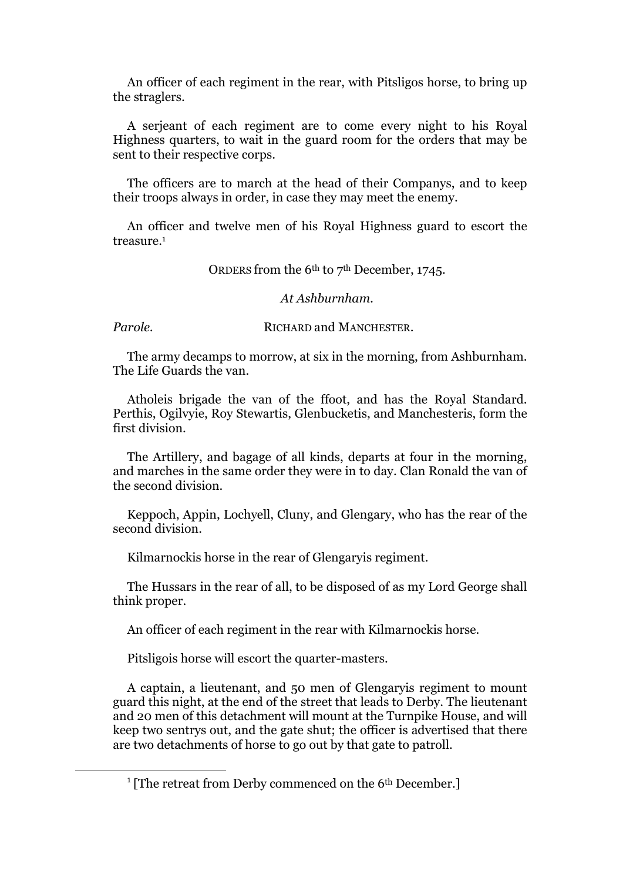An officer of each regiment in the rear, with Pitsligos horse, to bring up the straglers.

A serjeant of each regiment are to come every night to his Royal Highness quarters, to wait in the guard room for the orders that may be sent to their respective corps.

The officers are to march at the head of their Companys, and to keep their troops always in order, in case they may meet the enemy.

An officer and twelve men of his Royal Highness guard to escort the treasure.<sup>1</sup>

ORDERS from the 6<sup>th</sup> to 7<sup>th</sup> December, 1745.

#### *At Ashburnham.*

**.** 

*Parole.* RICHARD and MANCHESTER.

The army decamps to morrow, at six in the morning, from Ashburnham. The Life Guards the van.

Atholeis brigade the van of the ffoot, and has the Royal Standard. Perthis, Ogilvyie, Roy Stewartis, Glenbucketis, and Manchesteris, form the first division.

The Artillery, and bagage of all kinds, departs at four in the morning, and marches in the same order they were in to day. Clan Ronald the van of the second division.

Keppoch, Appin, Lochyell, Cluny, and Glengary, who has the rear of the second division.

Kilmarnockis horse in the rear of Glengaryis regiment.

The Hussars in the rear of all, to be disposed of as my Lord George shall think proper.

An officer of each regiment in the rear with Kilmarnockis horse.

Pitsligois horse will escort the quarter-masters.

A captain, a lieutenant, and 50 men of Glengaryis regiment to mount guard this night, at the end of the street that leads to Derby. The lieutenant and 20 men of this detachment will mount at the Turnpike House, and will keep two sentrys out, and the gate shut; the officer is advertised that there are two detachments of horse to go out by that gate to patroll.

<sup>&</sup>lt;sup>1</sup> [The retreat from Derby commenced on the 6<sup>th</sup> December.]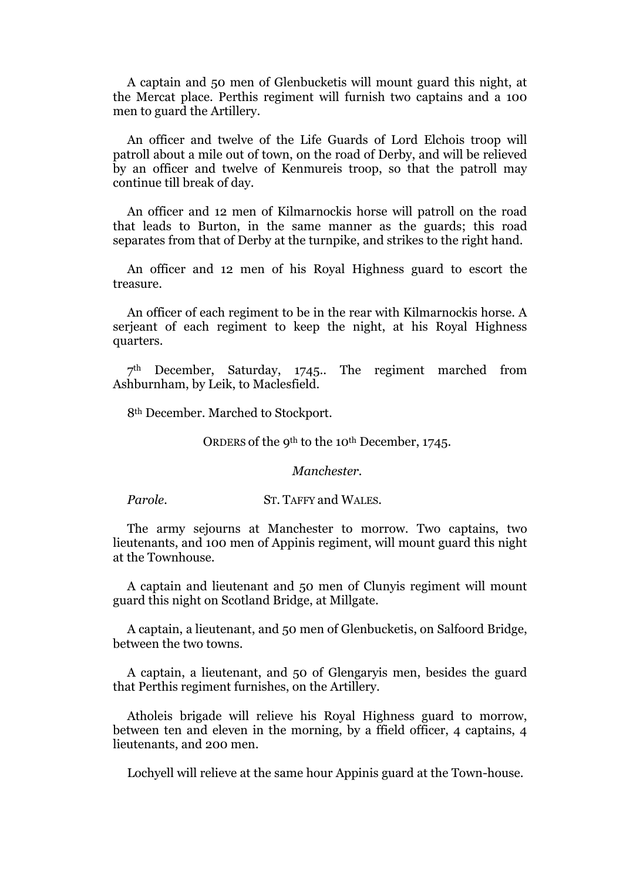A captain and 50 men of Glenbucketis will mount guard this night, at the Mercat place. Perthis regiment will furnish two captains and a 100 men to guard the Artillery.

An officer and twelve of the Life Guards of Lord Elchois troop will patroll about a mile out of town, on the road of Derby, and will be relieved by an officer and twelve of Kenmureis troop, so that the patroll may continue till break of day.

An officer and 12 men of Kilmarnockis horse will patroll on the road that leads to Burton, in the same manner as the guards; this road separates from that of Derby at the turnpike, and strikes to the right hand.

An officer and 12 men of his Royal Highness guard to escort the treasure.

An officer of each regiment to be in the rear with Kilmarnockis horse. A serjeant of each regiment to keep the night, at his Royal Highness quarters.

7th December, Saturday, 1745.. The regiment marched from Ashburnham, by Leik, to Maclesfield.

8th December. Marched to Stockport.

ORDERS of the 9th to the 10th December, 1745.

*Manchester.*

*Parole.* ST. TAFFY and WALES.

The army sejourns at Manchester to morrow. Two captains, two lieutenants, and 100 men of Appinis regiment, will mount guard this night at the Townhouse.

A captain and lieutenant and 50 men of Clunyis regiment will mount guard this night on Scotland Bridge, at Millgate.

A captain, a lieutenant, and 50 men of Glenbucketis, on Salfoord Bridge, between the two towns.

A captain, a lieutenant, and 50 of Glengaryis men, besides the guard that Perthis regiment furnishes, on the Artillery.

Atholeis brigade will relieve his Royal Highness guard to morrow, between ten and eleven in the morning, by a ffield officer, 4 captains, 4 lieutenants, and 200 men.

Lochyell will relieve at the same hour Appinis guard at the Town-house.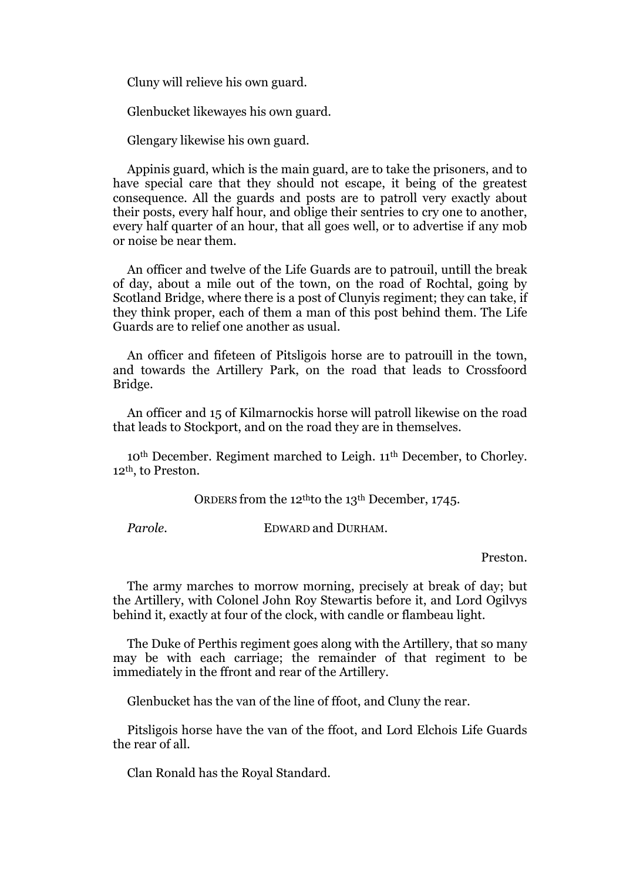Cluny will relieve his own guard.

Glenbucket likewayes his own guard.

Glengary likewise his own guard.

Appinis guard, which is the main guard, are to take the prisoners, and to have special care that they should not escape, it being of the greatest consequence. All the guards and posts are to patroll very exactly about their posts, every half hour, and oblige their sentries to cry one to another, every half quarter of an hour, that all goes well, or to advertise if any mob or noise be near them.

An officer and twelve of the Life Guards are to patrouil, untill the break of day, about a mile out of the town, on the road of Rochtal, going by Scotland Bridge, where there is a post of Clunyis regiment; they can take, if they think proper, each of them a man of this post behind them. The Life Guards are to relief one another as usual.

An officer and fifeteen of Pitsligois horse are to patrouill in the town, and towards the Artillery Park, on the road that leads to Crossfoord Bridge.

An officer and 15 of Kilmarnockis horse will patroll likewise on the road that leads to Stockport, and on the road they are in themselves.

10th December. Regiment marched to Leigh. 11th December, to Chorley. 12th, to Preston.

ORDERS from the 12thto the 13th December, 1745.

*Parole.* EDWARD and DURHAM.

Preston.

The army marches to morrow morning, precisely at break of day; but the Artillery, with Colonel John Roy Stewartis before it, and Lord Ogilvys behind it, exactly at four of the clock, with candle or flambeau light.

The Duke of Perthis regiment goes along with the Artillery, that so many may be with each carriage; the remainder of that regiment to be immediately in the ffront and rear of the Artillery.

Glenbucket has the van of the line of ffoot, and Cluny the rear.

Pitsligois horse have the van of the ffoot, and Lord Elchois Life Guards the rear of all.

Clan Ronald has the Royal Standard.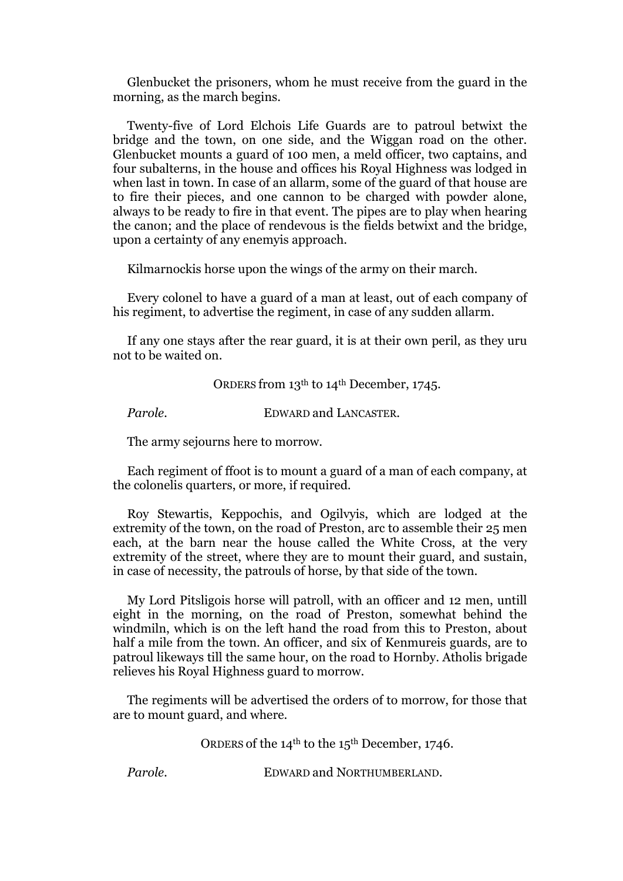Glenbucket the prisoners, whom he must receive from the guard in the morning, as the march begins.

Twenty-five of Lord Elchois Life Guards are to patroul betwixt the bridge and the town, on one side, and the Wiggan road on the other. Glenbucket mounts a guard of 100 men, a meld officer, two captains, and four subalterns, in the house and offices his Royal Highness was lodged in when last in town. In case of an allarm, some of the guard of that house are to fire their pieces, and one cannon to be charged with powder alone, always to be ready to fire in that event. The pipes are to play when hearing the canon; and the place of rendevous is the fields betwixt and the bridge, upon a certainty of any enemyis approach.

Kilmarnockis horse upon the wings of the army on their march.

Every colonel to have a guard of a man at least, out of each company of his regiment, to advertise the regiment, in case of any sudden allarm.

If any one stays after the rear guard, it is at their own peril, as they uru not to be waited on.

ORDERS from 13th to 14th December, 1745.

*Parole.* **EDWARD and LANCASTER.** 

The army sejourns here to morrow.

Each regiment of ffoot is to mount a guard of a man of each company, at the colonelis quarters, or more, if required.

Roy Stewartis, Keppochis, and Ogilvyis, which are lodged at the extremity of the town, on the road of Preston, arc to assemble their 25 men each, at the barn near the house called the White Cross, at the very extremity of the street, where they are to mount their guard, and sustain, in case of necessity, the patrouls of horse, by that side of the town.

My Lord Pitsligois horse will patroll, with an officer and 12 men, untill eight in the morning, on the road of Preston, somewhat behind the windmiln, which is on the left hand the road from this to Preston, about half a mile from the town. An officer, and six of Kenmureis guards, are to patroul likeways till the same hour, on the road to Hornby. Atholis brigade relieves his Royal Highness guard to morrow.

The regiments will be advertised the orders of to morrow, for those that are to mount guard, and where.

ORDERS of the 14th to the 15th December, 1746.

*Parole.* **EDWARD and NORTHUMBERLAND.**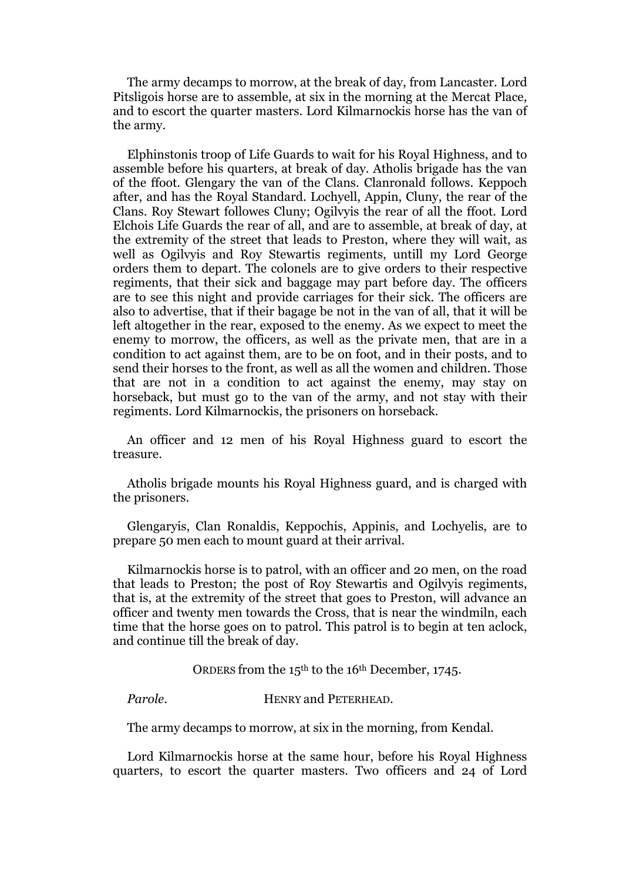The army decamps to morrow, at the break of day, from Lancaster. Lord Pitsligois horse are to assemble, at six in the morning at the Mercat Place, and to escort the quarter masters. Lord Kilmarnockis horse has the van of the army.

Elphinstonis troop of Life Guards to wait for his Royal Highness, and to assemble before his quarters, at break of day. Atholis brigade has the van of the ffoot. Glengary the van of the Clans. Clanronald follows. Keppoch after, and has the Royal Standard. Lochyell, Appin, Cluny, the rear of the Clans. Roy Stewart followes Cluny; Ogilvyis the rear of all the ffoot. Lord Elchois Life Guards the rear of all, and are to assemble, at break of day, at the extremity of the street that leads to Preston, where they will wait, as well as Ogilvyis and Roy Stewartis regiments, untill my Lord George orders them to depart. The colonels are to give orders to their respective regiments, that their sick and baggage may part before day. The officers are to see this night and provide carriages for their sick. The officers are also to advertise, that if their bagage be not in the van of all, that it will be left altogether in the rear, exposed to the enemy. As we expect to meet the enemy to morrow, the officers, as well as the private men, that are in a condition to act against them, are to be on foot, and in their posts, and to send their horses to the front, as well as all the women and children. Those that are not in a condition to act against the enemy, may stay on horseback, but must go to the van of the army, and not stay with their regiments. Lord Kilmarnockis, the prisoners on horseback.

An officer and 12 men of his Royal Highness guard to escort the treasure.

Atholis brigade mounts his Royal Highness guard, and is charged with the prisoners.

Glengaryis, Clan Ronaldis, Keppochis, Appinis, and Lochyelis, are to prepare 50 men each to mount guard at their arrival.

Kilmarnockis horse is to patrol, with an officer and 20 men, on the road that leads to Preston; the post of Roy Stewartis and Ogilvyis regiments, that is, at the extremity of the street that goes to Preston, will advance an officer and twenty men towards the Cross, that is near the windmiln, each time that the horse goes on to patrol. This patrol is to begin at ten aclock, and continue till the break of day.

ORDERS from the 15th to the 16th December, 1745.

*Parole.* HENRY and PETERHEAD.

The army decamps to morrow, at six in the morning, from Kendal.

Lord Kilmarnockis horse at the same hour, before his Royal Highness quarters, to escort the quarter masters. Two officers and 24 of Lord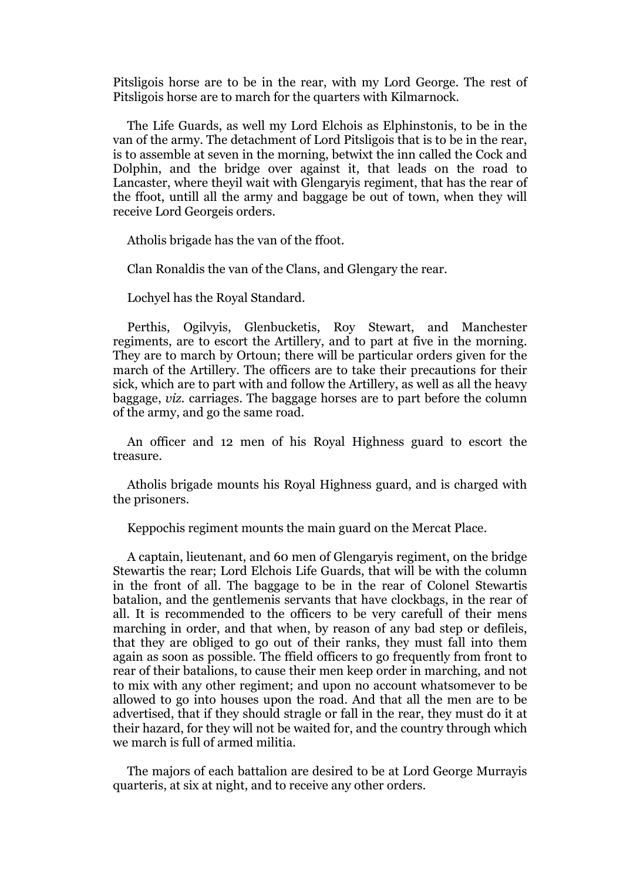Pitsligois horse are to be in the rear, with my Lord George. The rest of Pitsligois horse are to march for the quarters with Kilmarnock.

The Life Guards, as well my Lord Elchois as Elphinstonis, to be in the van of the army. The detachment of Lord Pitsligois that is to be in the rear, is to assemble at seven in the morning, betwixt the inn called the Cock and Dolphin, and the bridge over against it, that leads on the road to Lancaster, where theyil wait with Glengaryis regiment, that has the rear of the ffoot, untill all the army and baggage be out of town, when they will receive Lord Georgeis orders.

Atholis brigade has the van of the ffoot.

Clan Ronaldis the van of the Clans, and Glengary the rear.

Lochyel has the Royal Standard.

Perthis, Ogilvyis, Glenbucketis, Roy Stewart, and Manchester regiments, are to escort the Artillery, and to part at five in the morning. They are to march by Ortoun; there will be particular orders given for the march of the Artillery. The officers are to take their precautions for their sick, which are to part with and follow the Artillery, as well as all the heavy baggage, *viz.* carriages. The baggage horses are to part before the column of the army, and go the same road.

An officer and 12 men of his Royal Highness guard to escort the treasure.

Atholis brigade mounts his Royal Highness guard, and is charged with the prisoners.

Keppochis regiment mounts the main guard on the Mercat Place.

A captain, lieutenant, and 60 men of Glengaryis regiment, on the bridge Stewartis the rear; Lord Elchois Life Guards, that will be with the column in the front of all. The baggage to be in the rear of Colonel Stewartis batalion, and the gentlemenis servants that have clockbags, in the rear of all. It is recommended to the officers to be very carefull of their mens marching in order, and that when, by reason of any bad step or defileis, that they are obliged to go out of their ranks, they must fall into them again as soon as possible. The ffield officers to go frequently from front to rear of their batalions, to cause their men keep order in marching, and not to mix with any other regiment; and upon no account whatsomever to be allowed to go into houses upon the road. And that all the men are to be advertised, that if they should stragle or fall in the rear, they must do it at their hazard, for they will not be waited for, and the country through which we march is full of armed militia.

The majors of each battalion are desired to be at Lord George Murrayis quarteris, at six at night, and to receive any other orders.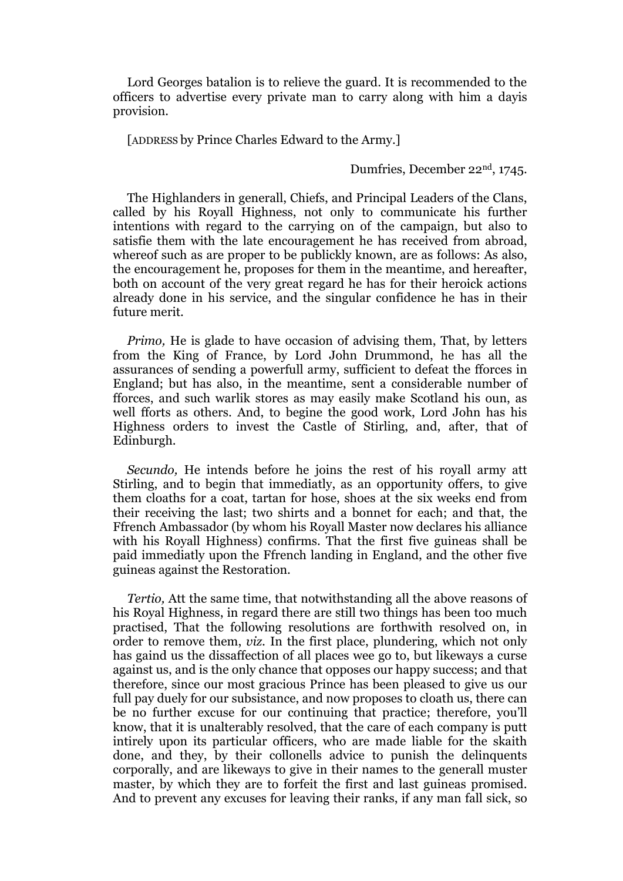Lord Georges batalion is to relieve the guard. It is recommended to the officers to advertise every private man to carry along with him a dayis provision.

[ADDRESS by Prince Charles Edward to the Army.]

Dumfries, December 22nd, 1745.

The Highlanders in generall, Chiefs, and Principal Leaders of the Clans, called by his Royall Highness, not only to communicate his further intentions with regard to the carrying on of the campaign, but also to satisfie them with the late encouragement he has received from abroad, whereof such as are proper to be publickly known, are as follows: As also, the encouragement he, proposes for them in the meantime, and hereafter, both on account of the very great regard he has for their heroick actions already done in his service, and the singular confidence he has in their future merit.

*Primo*, He is glade to have occasion of advising them, That, by letters from the King of France, by Lord John Drummond, he has all the assurances of sending a powerfull army, sufficient to defeat the fforces in England; but has also, in the meantime, sent a considerable number of fforces, and such warlik stores as may easily make Scotland his oun, as well fforts as others. And, to begine the good work, Lord John has his Highness orders to invest the Castle of Stirling, and, after, that of Edinburgh.

*Secundo,* He intends before he joins the rest of his royall army att Stirling, and to begin that immediatly, as an opportunity offers, to give them cloaths for a coat, tartan for hose, shoes at the six weeks end from their receiving the last; two shirts and a bonnet for each; and that, the Ffrench Ambassador (by whom his Royall Master now declares his alliance with his Royall Highness) confirms. That the first five guineas shall be paid immediatly upon the Ffrench landing in England, and the other five guineas against the Restoration.

*Tertio,* Att the same time, that notwithstanding all the above reasons of his Royal Highness, in regard there are still two things has been too much practised, That the following resolutions are forthwith resolved on, in order to remove them, *viz.* In the first place, plundering, which not only has gaind us the dissaffection of all places wee go to, but likeways a curse against us, and is the only chance that opposes our happy success; and that therefore, since our most gracious Prince has been pleased to give us our full pay duely for our subsistance, and now proposes to cloath us, there can be no further excuse for our continuing that practice; therefore, you'll know, that it is unalterably resolved, that the care of each company is putt intirely upon its particular officers, who are made liable for the skaith done, and they, by their collonells advice to punish the delinquents corporally, and are likeways to give in their names to the generall muster master, by which they are to forfeit the first and last guineas promised. And to prevent any excuses for leaving their ranks, if any man fall sick, so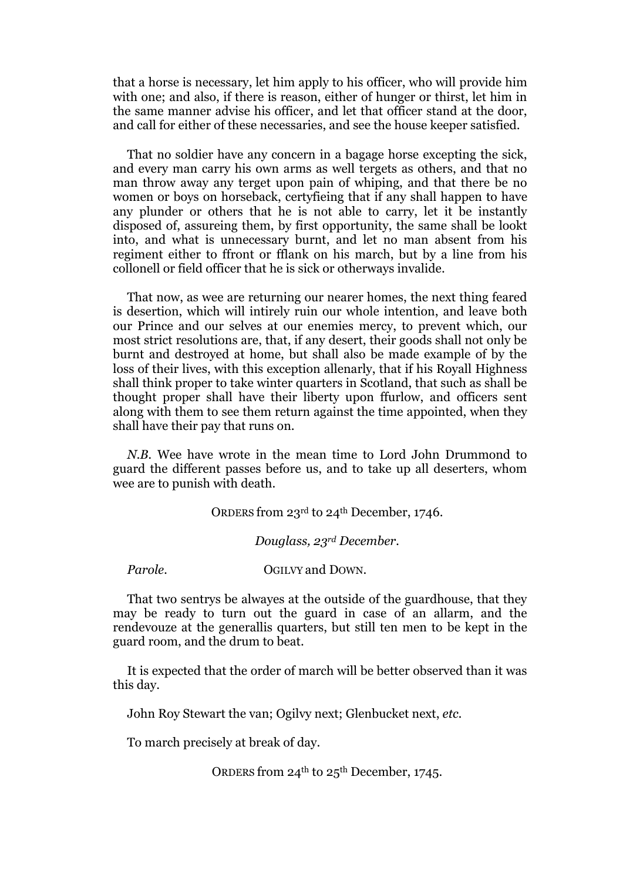that a horse is necessary, let him apply to his officer, who will provide him with one; and also, if there is reason, either of hunger or thirst, let him in the same manner advise his officer, and let that officer stand at the door, and call for either of these necessaries, and see the house keeper satisfied.

That no soldier have any concern in a bagage horse excepting the sick, and every man carry his own arms as well tergets as others, and that no man throw away any terget upon pain of whiping, and that there be no women or boys on horseback, certyfieing that if any shall happen to have any plunder or others that he is not able to carry, let it be instantly disposed of, assureing them, by first opportunity, the same shall be lookt into, and what is unnecessary burnt, and let no man absent from his regiment either to ffront or fflank on his march, but by a line from his collonell or field officer that he is sick or otherways invalide.

That now, as wee are returning our nearer homes, the next thing feared is desertion, which will intirely ruin our whole intention, and leave both our Prince and our selves at our enemies mercy, to prevent which, our most strict resolutions are, that, if any desert, their goods shall not only be burnt and destroyed at home, but shall also be made example of by the loss of their lives, with this exception allenarly, that if his Royall Highness shall think proper to take winter quarters in Scotland, that such as shall be thought proper shall have their liberty upon ffurlow, and officers sent along with them to see them return against the time appointed, when they shall have their pay that runs on.

*N.B.* Wee have wrote in the mean time to Lord John Drummond to guard the different passes before us, and to take up all deserters, whom wee are to punish with death.

ORDERS from 23rd to 24th December, 1746.

*Douglass, 23rd December.*

*Parole.* **OGILVY and DOWN.** 

That two sentrys be alwayes at the outside of the guardhouse, that they may be ready to turn out the guard in case of an allarm, and the rendevouze at the generallis quarters, but still ten men to be kept in the guard room, and the drum to beat.

It is expected that the order of march will be better observed than it was this day.

John Roy Stewart the van; Ogilvy next; Glenbucket next, *etc.*

To march precisely at break of day.

ORDERS from 24<sup>th</sup> to 25<sup>th</sup> December, 1745.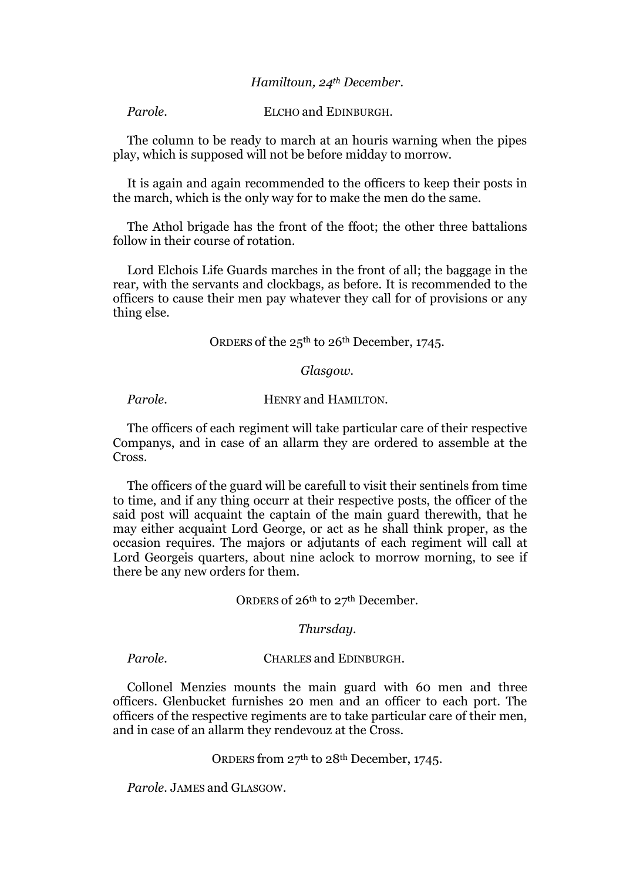#### *Hamiltoun, 24th December.*

*Parole.* ELCHO and EDINBURGH.

The column to be ready to march at an houris warning when the pipes play, which is supposed will not be before midday to morrow.

It is again and again recommended to the officers to keep their posts in the march, which is the only way for to make the men do the same.

The Athol brigade has the front of the ffoot; the other three battalions follow in their course of rotation.

Lord Elchois Life Guards marches in the front of all; the baggage in the rear, with the servants and clockbags, as before. It is recommended to the officers to cause their men pay whatever they call for of provisions or any thing else.

#### ORDERS of the 25<sup>th</sup> to 26<sup>th</sup> December, 1745.

#### *Glasgow.*

*Parole.* HENRY and HAMILTON.

The officers of each regiment will take particular care of their respective Companys, and in case of an allarm they are ordered to assemble at the Cross.

The officers of the guard will be carefull to visit their sentinels from time to time, and if any thing occurr at their respective posts, the officer of the said post will acquaint the captain of the main guard therewith, that he may either acquaint Lord George, or act as he shall think proper, as the occasion requires. The majors or adjutants of each regiment will call at Lord Georgeis quarters, about nine aclock to morrow morning, to see if there be any new orders for them.

ORDERS of 26<sup>th</sup> to 27<sup>th</sup> December.

#### *Thursday.*

*Parole.* **CHARLES and EDINBURGH.** 

Collonel Menzies mounts the main guard with 60 men and three officers. Glenbucket furnishes 20 men and an officer to each port. The officers of the respective regiments are to take particular care of their men, and in case of an allarm they rendevouz at the Cross.

ORDERS from 27th to 28th December, 1745.

*Parole.* JAMES and GLASGOW.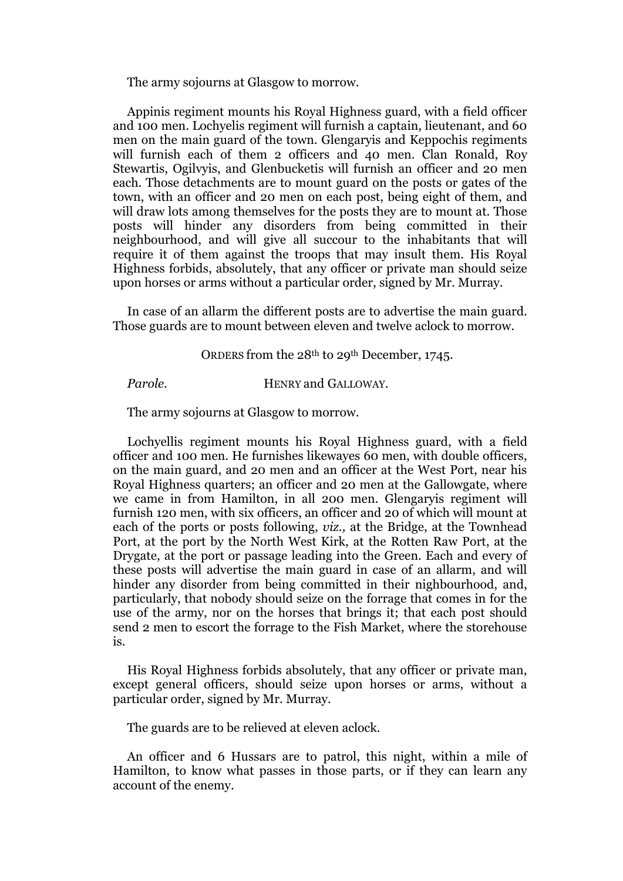The army sojourns at Glasgow to morrow.

Appinis regiment mounts his Royal Highness guard, with a field officer and 100 men. Lochyelis regiment will furnish a captain, lieutenant, and 60 men on the main guard of the town. Glengaryis and Keppochis regiments will furnish each of them 2 officers and 40 men. Clan Ronald, Roy Stewartis, Ogilvyis, and Glenbucketis will furnish an officer and 20 men each. Those detachments are to mount guard on the posts or gates of the town, with an officer and 20 men on each post, being eight of them, and will draw lots among themselves for the posts they are to mount at. Those posts will hinder any disorders from being committed in their neighbourhood, and will give all succour to the inhabitants that will require it of them against the troops that may insult them. His Royal Highness forbids, absolutely, that any officer or private man should seize upon horses or arms without a particular order, signed by Mr. Murray.

In case of an allarm the different posts are to advertise the main guard. Those guards are to mount between eleven and twelve aclock to morrow.

ORDERS from the 28th to 29th December, 1745.

*Parole.* **HENRY and GALLOWAY.** 

The army sojourns at Glasgow to morrow.

Lochyellis regiment mounts his Royal Highness guard, with a field officer and 100 men. He furnishes likewayes 60 men, with double officers, on the main guard, and 20 men and an officer at the West Port, near his Royal Highness quarters; an officer and 20 men at the Gallowgate, where we came in from Hamilton, in all 200 men. Glengaryis regiment will furnish 120 men, with six officers, an officer and 20 of which will mount at each of the ports or posts following, *viz.,* at the Bridge, at the Townhead Port, at the port by the North West Kirk, at the Rotten Raw Port, at the Drygate, at the port or passage leading into the Green. Each and every of these posts will advertise the main guard in case of an allarm, and will hinder any disorder from being committed in their nighbourhood, and, particularly, that nobody should seize on the forrage that comes in for the use of the army, nor on the horses that brings it; that each post should send 2 men to escort the forrage to the Fish Market, where the storehouse is.

His Royal Highness forbids absolutely, that any officer or private man, except general officers, should seize upon horses or arms, without a particular order, signed by Mr. Murray.

The guards are to be relieved at eleven aclock.

An officer and 6 Hussars are to patrol, this night, within a mile of Hamilton, to know what passes in those parts, or if they can learn any account of the enemy.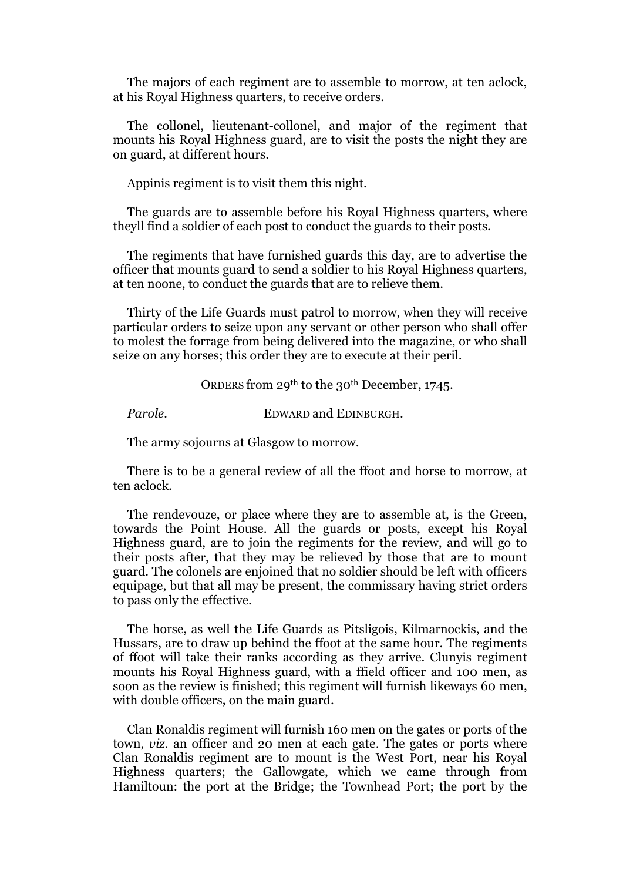The majors of each regiment are to assemble to morrow, at ten aclock, at his Royal Highness quarters, to receive orders.

The collonel, lieutenant-collonel, and major of the regiment that mounts his Royal Highness guard, are to visit the posts the night they are on guard, at different hours.

Appinis regiment is to visit them this night.

The guards are to assemble before his Royal Highness quarters, where theyll find a soldier of each post to conduct the guards to their posts.

The regiments that have furnished guards this day, are to advertise the officer that mounts guard to send a soldier to his Royal Highness quarters, at ten noone, to conduct the guards that are to relieve them.

Thirty of the Life Guards must patrol to morrow, when they will receive particular orders to seize upon any servant or other person who shall offer to molest the forrage from being delivered into the magazine, or who shall seize on any horses; this order they are to execute at their peril.

ORDERS from 29th to the 30th December, 1745.

*Parole.* **EDWARD and EDINBURGH.** 

The army sojourns at Glasgow to morrow.

There is to be a general review of all the ffoot and horse to morrow, at ten aclock.

The rendevouze, or place where they are to assemble at, is the Green, towards the Point House. All the guards or posts, except his Royal Highness guard, are to join the regiments for the review, and will go to their posts after, that they may be relieved by those that are to mount guard. The colonels are enjoined that no soldier should be left with officers equipage, but that all may be present, the commissary having strict orders to pass only the effective.

The horse, as well the Life Guards as Pitsligois, Kilmarnockis, and the Hussars, are to draw up behind the ffoot at the same hour. The regiments of ffoot will take their ranks according as they arrive. Clunyis regiment mounts his Royal Highness guard, with a ffield officer and 100 men, as soon as the review is finished; this regiment will furnish likeways 60 men, with double officers, on the main guard.

Clan Ronaldis regiment will furnish 160 men on the gates or ports of the town, *viz.* an officer and 20 men at each gate. The gates or ports where Clan Ronaldis regiment are to mount is the West Port, near his Royal Highness quarters; the Gallowgate, which we came through from Hamiltoun: the port at the Bridge; the Townhead Port; the port by the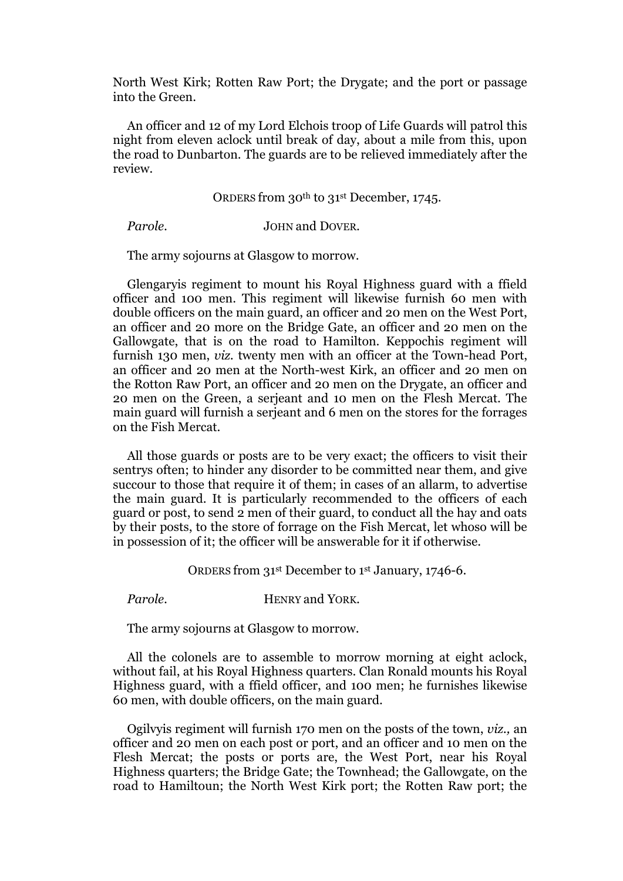North West Kirk; Rotten Raw Port; the Drygate; and the port or passage into the Green.

An officer and 12 of my Lord Elchois troop of Life Guards will patrol this night from eleven aclock until break of day, about a mile from this, upon the road to Dunbarton. The guards are to be relieved immediately after the review.

ORDERS from 30th to 31st December, 1745.

*Parole.* **JOHN and DOVER.** 

The army sojourns at Glasgow to morrow.

Glengaryis regiment to mount his Royal Highness guard with a ffield officer and 100 men. This regiment will likewise furnish 60 men with double officers on the main guard, an officer and 20 men on the West Port, an officer and 20 more on the Bridge Gate, an officer and 20 men on the Gallowgate, that is on the road to Hamilton. Keppochis regiment will furnish 130 men, *viz.* twenty men with an officer at the Town-head Port, an officer and 20 men at the North-west Kirk, an officer and 20 men on the Rotton Raw Port, an officer and 20 men on the Drygate, an officer and 20 men on the Green, a serjeant and 10 men on the Flesh Mercat. The main guard will furnish a serjeant and 6 men on the stores for the forrages on the Fish Mercat.

All those guards or posts are to be very exact; the officers to visit their sentrys often; to hinder any disorder to be committed near them, and give succour to those that require it of them; in cases of an allarm, to advertise the main guard. It is particularly recommended to the officers of each guard or post, to send 2 men of their guard, to conduct all the hay and oats by their posts, to the store of forrage on the Fish Mercat, let whoso will be in possession of it; the officer will be answerable for it if otherwise.

ORDERS from 31st December to 1st January, 1746-6.

*Parole.* HENRY and YORK.

The army sojourns at Glasgow to morrow.

All the colonels are to assemble to morrow morning at eight aclock, without fail, at his Royal Highness quarters. Clan Ronald mounts his Royal Highness guard, with a ffield officer, and 100 men; he furnishes likewise 60 men, with double officers, on the main guard.

Ogilvyis regiment will furnish 170 men on the posts of the town, *viz.,* an officer and 20 men on each post or port, and an officer and 10 men on the Flesh Mercat; the posts or ports are, the West Port, near his Royal Highness quarters; the Bridge Gate; the Townhead; the Gallowgate, on the road to Hamiltoun; the North West Kirk port; the Rotten Raw port; the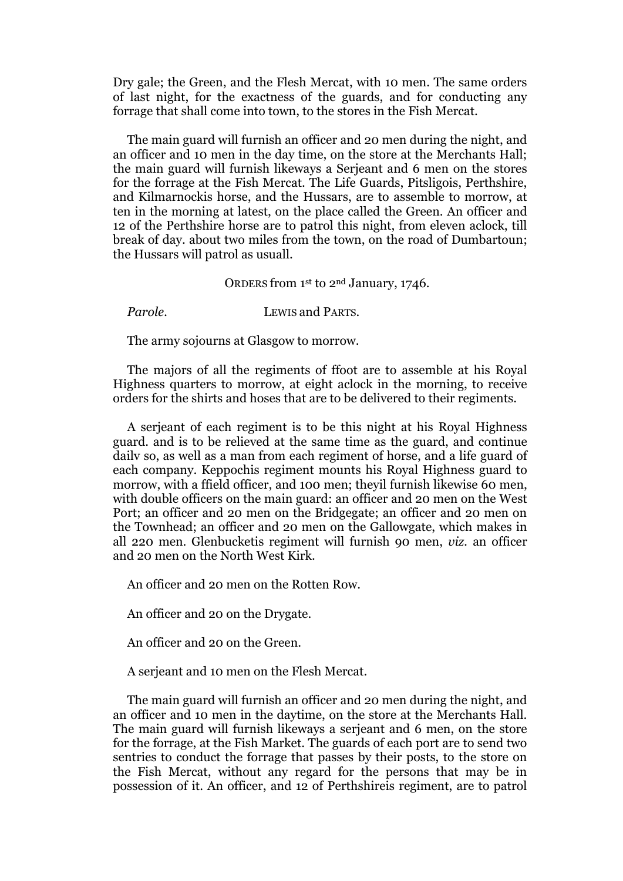Dry gale; the Green, and the Flesh Mercat, with 10 men. The same orders of last night, for the exactness of the guards, and for conducting any forrage that shall come into town, to the stores in the Fish Mercat.

The main guard will furnish an officer and 20 men during the night, and an officer and 10 men in the day time, on the store at the Merchants Hall; the main guard will furnish likeways a Serjeant and 6 men on the stores for the forrage at the Fish Mercat. The Life Guards, Pitsligois, Perthshire, and Kilmarnockis horse, and the Hussars, are to assemble to morrow, at ten in the morning at latest, on the place called the Green. An officer and 12 of the Perthshire horse are to patrol this night, from eleven aclock, till break of day. about two miles from the town, on the road of Dumbartoun; the Hussars will patrol as usuall.

#### ORDERS from 1st to 2nd January, 1746.

#### *Parole.* LEWIS and PARTS.

The army sojourns at Glasgow to morrow.

The majors of all the regiments of ffoot are to assemble at his Royal Highness quarters to morrow, at eight aclock in the morning, to receive orders for the shirts and hoses that are to be delivered to their regiments.

A serjeant of each regiment is to be this night at his Royal Highness guard. and is to be relieved at the same time as the guard, and continue dailv so, as well as a man from each regiment of horse, and a life guard of each company. Keppochis regiment mounts his Royal Highness guard to morrow, with a ffield officer, and 100 men; theyil furnish likewise 60 men, with double officers on the main guard: an officer and 20 men on the West Port; an officer and 20 men on the Bridgegate; an officer and 20 men on the Townhead; an officer and 20 men on the Gallowgate, which makes in all 220 men. Glenbucketis regiment will furnish 90 men, *viz.* an officer and 20 men on the North West Kirk.

An officer and 20 men on the Rotten Row.

An officer and 20 on the Drygate.

An officer and 20 on the Green.

A serjeant and 10 men on the Flesh Mercat.

The main guard will furnish an officer and 20 men during the night, and an officer and 10 men in the daytime, on the store at the Merchants Hall. The main guard will furnish likeways a serjeant and 6 men, on the store for the forrage, at the Fish Market. The guards of each port are to send two sentries to conduct the forrage that passes by their posts, to the store on the Fish Mercat, without any regard for the persons that may be in possession of it. An officer, and 12 of Perthshireis regiment, are to patrol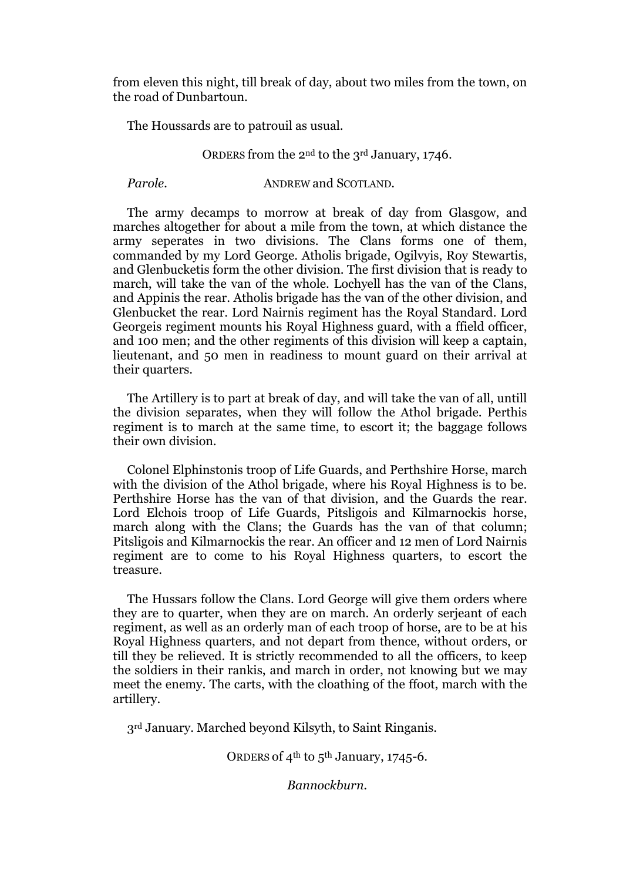from eleven this night, till break of day, about two miles from the town, on the road of Dunbartoun.

The Houssards are to patrouil as usual.

#### ORDERS from the 2nd to the 3rd January, 1746.

*Parole.* **ANDREW** and SCOTLAND.

The army decamps to morrow at break of day from Glasgow, and marches altogether for about a mile from the town, at which distance the army seperates in two divisions. The Clans forms one of them, commanded by my Lord George. Atholis brigade, Ogilvyis, Roy Stewartis, and Glenbucketis form the other division. The first division that is ready to march, will take the van of the whole. Lochyell has the van of the Clans, and Appinis the rear. Atholis brigade has the van of the other division, and Glenbucket the rear. Lord Nairnis regiment has the Royal Standard. Lord Georgeis regiment mounts his Royal Highness guard, with a ffield officer, and 100 men; and the other regiments of this division will keep a captain, lieutenant, and 50 men in readiness to mount guard on their arrival at their quarters.

The Artillery is to part at break of day, and will take the van of all, untill the division separates, when they will follow the Athol brigade. Perthis regiment is to march at the same time, to escort it; the baggage follows their own division.

Colonel Elphinstonis troop of Life Guards, and Perthshire Horse, march with the division of the Athol brigade, where his Royal Highness is to be. Perthshire Horse has the van of that division, and the Guards the rear. Lord Elchois troop of Life Guards, Pitsligois and Kilmarnockis horse, march along with the Clans; the Guards has the van of that column; Pitsligois and Kilmarnockis the rear. An officer and 12 men of Lord Nairnis regiment are to come to his Royal Highness quarters, to escort the treasure.

The Hussars follow the Clans. Lord George will give them orders where they are to quarter, when they are on march. An orderly serjeant of each regiment, as well as an orderly man of each troop of horse, are to be at his Royal Highness quarters, and not depart from thence, without orders, or till they be relieved. It is strictly recommended to all the officers, to keep the soldiers in their rankis, and march in order, not knowing but we may meet the enemy. The carts, with the cloathing of the ffoot, march with the artillery.

3rd January. Marched beyond Kilsyth, to Saint Ringanis.

ORDERS of  $4<sup>th</sup>$  to  $5<sup>th</sup>$  January, 1745-6.

*Bannockburn.*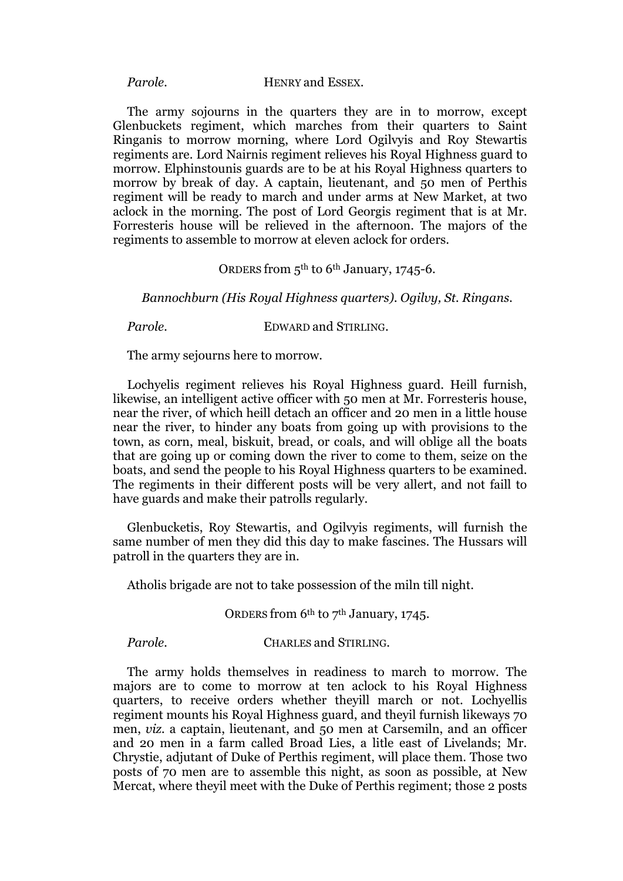#### *Parole.* HENRY and ESSEX.

The army sojourns in the quarters they are in to morrow, except Glenbuckets regiment, which marches from their quarters to Saint Ringanis to morrow morning, where Lord Ogilvyis and Roy Stewartis regiments are. Lord Nairnis regiment relieves his Royal Highness guard to morrow. Elphinstounis guards are to be at his Royal Highness quarters to morrow by break of day. A captain, lieutenant, and 50 men of Perthis regiment will be ready to march and under arms at New Market, at two aclock in the morning. The post of Lord Georgis regiment that is at Mr. Forresteris house will be relieved in the afternoon. The majors of the regiments to assemble to morrow at eleven aclock for orders.

#### ORDERS from 5th to 6th January, 1745-6.

*Bannochburn (His Royal Highness quarters). Ogilvy, St. Ringans.*

*Parole.* EDWARD and STIRLING.

The army sejourns here to morrow.

Lochyelis regiment relieves his Royal Highness guard. Heill furnish, likewise, an intelligent active officer with 50 men at Mr. Forresteris house, near the river, of which heill detach an officer and 20 men in a little house near the river, to hinder any boats from going up with provisions to the town, as corn, meal, biskuit, bread, or coals, and will oblige all the boats that are going up or coming down the river to come to them, seize on the boats, and send the people to his Royal Highness quarters to be examined. The regiments in their different posts will be very allert, and not faill to have guards and make their patrolls regularly.

Glenbucketis, Roy Stewartis, and Ogilvyis regiments, will furnish the same number of men they did this day to make fascines. The Hussars will patroll in the quarters they are in.

Atholis brigade are not to take possession of the miln till night.

ORDERS from 6<sup>th</sup> to 7<sup>th</sup> January, 1745.

*Parole.* **CHARLES and STIRLING.** 

The army holds themselves in readiness to march to morrow. The majors are to come to morrow at ten aclock to his Royal Highness quarters, to receive orders whether theyill march or not. Lochyellis regiment mounts his Royal Highness guard, and theyil furnish likeways 70 men, *viz.* a captain, lieutenant, and 50 men at Carsemiln, and an officer and 20 men in a farm called Broad Lies, a litle east of Livelands; Mr. Chrystie, adjutant of Duke of Perthis regiment, will place them. Those two posts of 70 men are to assemble this night, as soon as possible, at New Mercat, where theyil meet with the Duke of Perthis regiment; those 2 posts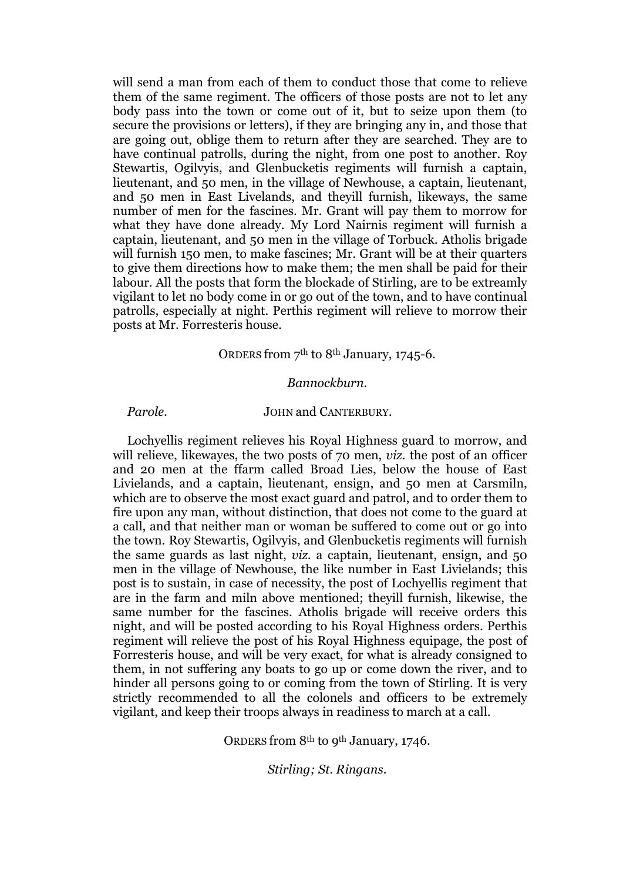will send a man from each of them to conduct those that come to relieve them of the same regiment. The officers of those posts are not to let any body pass into the town or come out of it, but to seize upon them (to secure the provisions or letters), if they are bringing any in, and those that are going out, oblige them to return after they are searched. They are to have continual patrolls, during the night, from one post to another. Roy Stewartis, Ogilvyis, and Glenbucketis regiments will furnish a captain, lieutenant, and 50 men, in the village of Newhouse, a captain, lieutenant, and 50 men in East Livelands, and theyill furnish, likeways, the same number of men for the fascines. Mr. Grant will pay them to morrow for what they have done already. My Lord Nairnis regiment will furnish a captain, lieutenant, and 50 men in the village of Torbuck. Atholis brigade will furnish 150 men, to make fascines; Mr. Grant will be at their quarters to give them directions how to make them; the men shall be paid for their labour. All the posts that form the blockade of Stirling, are to be extreamly vigilant to let no body come in or go out of the town, and to have continual patrolls, especially at night. Perthis regiment will relieve to morrow their posts at Mr. Forresteris house.

#### ORDERS from 7th to 8th January, 1745-6.

#### *Bannockburn.*

### Parole. **JOHN** and CANTERBURY.

Lochyellis regiment relieves his Royal Highness guard to morrow, and will relieve, likewayes, the two posts of 70 men, *viz.* the post of an officer and 20 men at the ffarm called Broad Lies, below the house of East Livielands, and a captain, lieutenant, ensign, and 50 men at Carsmiln, which are to observe the most exact guard and patrol, and to order them to fire upon any man, without distinction, that does not come to the guard at a call, and that neither man or woman be suffered to come out or go into the town. Roy Stewartis, Ogilvyis, and Glenbucketis regiments will furnish the same guards as last night, *viz.* a captain, lieutenant, ensign, and 50 men in the village of Newhouse, the like number in East Livielands; this post is to sustain, in case of necessity, the post of Lochyellis regiment that are in the farm and miln above mentioned; theyill furnish, likewise, the same number for the fascines. Atholis brigade will receive orders this night, and will be posted according to his Royal Highness orders. Perthis regiment will relieve the post of his Royal Highness equipage, the post of Forresteris house, and will be very exact, for what is already consigned to them, in not suffering any boats to go up or come down the river, and to hinder all persons going to or coming from the town of Stirling. It is very strictly recommended to all the colonels and officers to be extremely vigilant, and keep their troops always in readiness to march at a call.

ORDERS from 8th to 9th January, 1746.

*Stirling; St. Ringans.*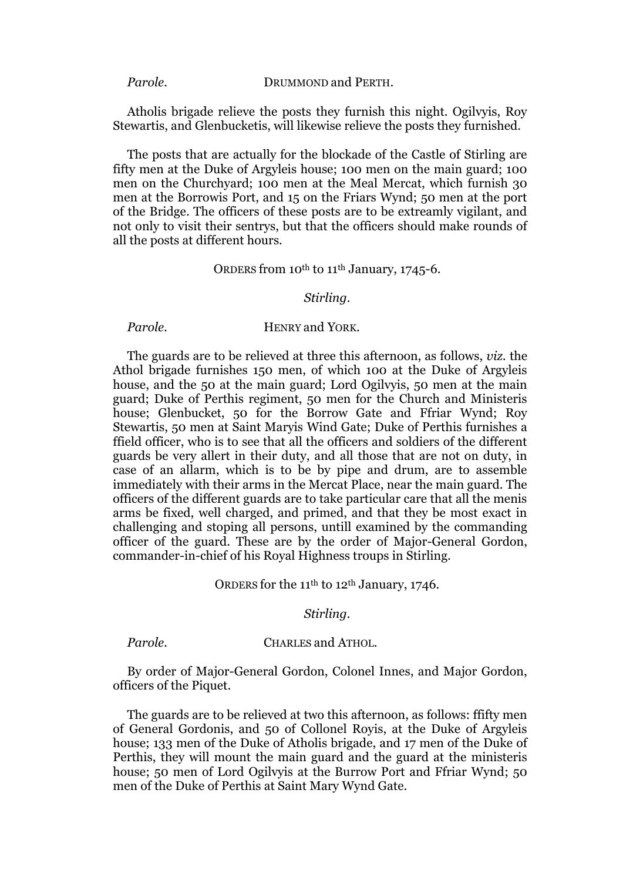Atholis brigade relieve the posts they furnish this night. Ogilvyis, Roy Stewartis, and Glenbucketis, will likewise relieve the posts they furnished.

The posts that are actually for the blockade of the Castle of Stirling are fifty men at the Duke of Argyleis house; 100 men on the main guard; 100 men on the Churchyard; 100 men at the Meal Mercat, which furnish 30 men at the Borrowis Port, and 15 on the Friars Wynd; 50 men at the port of the Bridge. The officers of these posts are to be extreamly vigilant, and not only to visit their sentrys, but that the officers should make rounds of all the posts at different hours.

#### ORDERS from 10<sup>th</sup> to 11<sup>th</sup> January, 1745-6.

#### *Stirling.*

### *Parole.* HENRY and YORK.

The guards are to be relieved at three this afternoon, as follows, *viz.* the Athol brigade furnishes 150 men, of which 100 at the Duke of Argyleis house, and the 50 at the main guard; Lord Ogilvyis, 50 men at the main guard; Duke of Perthis regiment, 50 men for the Church and Ministeris house; Glenbucket, 50 for the Borrow Gate and Ffriar Wynd; Roy Stewartis, 50 men at Saint Maryis Wind Gate; Duke of Perthis furnishes a ffield officer, who is to see that all the officers and soldiers of the different guards be very allert in their duty, and all those that are not on duty, in case of an allarm, which is to be by pipe and drum, are to assemble immediately with their arms in the Mercat Place, near the main guard. The officers of the different guards are to take particular care that all the menis arms be fixed, well charged, and primed, and that they be most exact in challenging and stoping all persons, untill examined by the commanding officer of the guard. These are by the order of Major-General Gordon, commander-in-chief of his Royal Highness troups in Stirling.

### ORDERS for the 11<sup>th</sup> to 12<sup>th</sup> January, 1746.

#### *Stirling.*

#### *Parole.* CHARLES and ATHOL.

By order of Major-General Gordon, Colonel Innes, and Major Gordon, officers of the Piquet.

The guards are to be relieved at two this afternoon, as follows: ffifty men of General Gordonis, and 50 of Collonel Royis, at the Duke of Argyleis house; 133 men of the Duke of Atholis brigade, and 17 men of the Duke of Perthis, they will mount the main guard and the guard at the ministeris house; 50 men of Lord Ogilvyis at the Burrow Port and Ffriar Wynd; 50 men of the Duke of Perthis at Saint Mary Wynd Gate.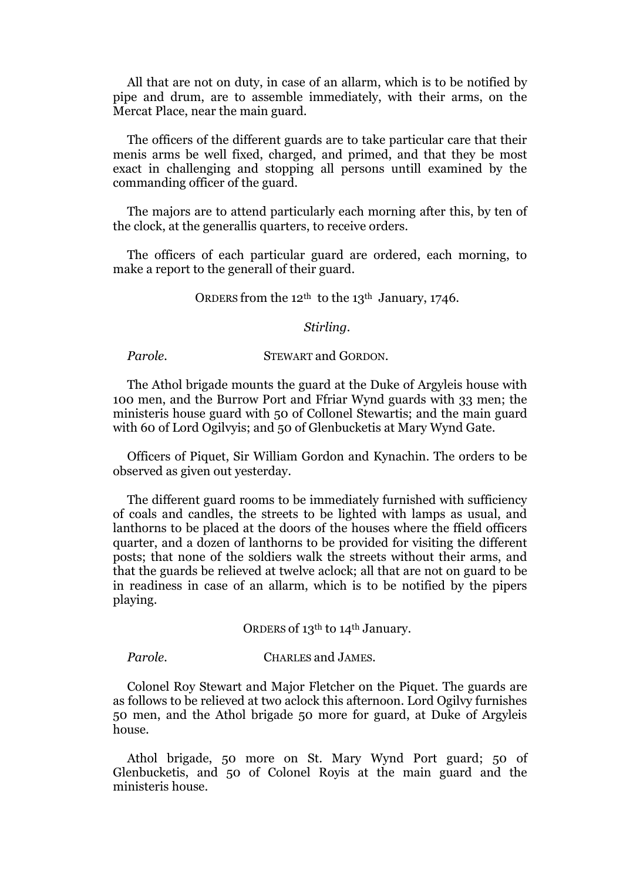All that are not on duty, in case of an allarm, which is to be notified by pipe and drum, are to assemble immediately, with their arms, on the Mercat Place, near the main guard.

The officers of the different guards are to take particular care that their menis arms be well fixed, charged, and primed, and that they be most exact in challenging and stopping all persons untill examined by the commanding officer of the guard.

The majors are to attend particularly each morning after this, by ten of the clock, at the generallis quarters, to receive orders.

The officers of each particular guard are ordered, each morning, to make a report to the generall of their guard.

ORDERS from the 12<sup>th</sup> to the 13<sup>th</sup> January, 1746.

#### *Stirling.*

*Parole.* STEWART and GORDON.

The Athol brigade mounts the guard at the Duke of Argyleis house with 100 men, and the Burrow Port and Ffriar Wynd guards with 33 men; the ministeris house guard with 50 of Collonel Stewartis; and the main guard with 60 of Lord Ogilvyis; and 50 of Glenbucketis at Mary Wynd Gate.

Officers of Piquet, Sir William Gordon and Kynachin. The orders to be observed as given out yesterday.

The different guard rooms to be immediately furnished with sufficiency of coals and candles, the streets to be lighted with lamps as usual, and lanthorns to be placed at the doors of the houses where the ffield officers quarter, and a dozen of lanthorns to be provided for visiting the different posts; that none of the soldiers walk the streets without their arms, and that the guards be relieved at twelve aclock; all that are not on guard to be in readiness in case of an allarm, which is to be notified by the pipers playing.

ORDERS of 13<sup>th</sup> to 14<sup>th</sup> January.

#### *Parole.* CHARLES and JAMES.

Colonel Roy Stewart and Major Fletcher on the Piquet. The guards are as follows to be relieved at two aclock this afternoon. Lord Ogilvy furnishes 50 men, and the Athol brigade 50 more for guard, at Duke of Argyleis house.

Athol brigade, 50 more on St. Mary Wynd Port guard; 50 of Glenbucketis, and 50 of Colonel Royis at the main guard and the ministeris house.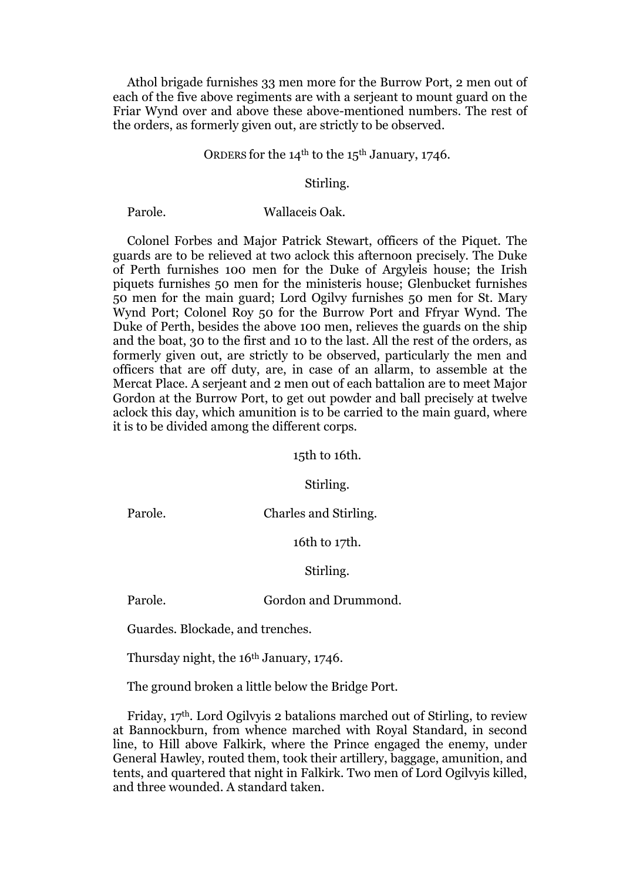Athol brigade furnishes 33 men more for the Burrow Port, 2 men out of each of the five above regiments are with a serjeant to mount guard on the Friar Wynd over and above these above-mentioned numbers. The rest of the orders, as formerly given out, are strictly to be observed.

#### ORDERS for the  $14<sup>th</sup>$  to the  $15<sup>th</sup>$  January, 1746.

#### Stirling.

#### Parole. Wallaceis Oak.

Colonel Forbes and Major Patrick Stewart, officers of the Piquet. The guards are to be relieved at two aclock this afternoon precisely. The Duke of Perth furnishes 100 men for the Duke of Argyleis house; the Irish piquets furnishes 50 men for the ministeris house; Glenbucket furnishes 50 men for the main guard; Lord Ogilvy furnishes 50 men for St. Mary Wynd Port; Colonel Roy 50 for the Burrow Port and Ffryar Wynd. The Duke of Perth, besides the above 100 men, relieves the guards on the ship and the boat, 30 to the first and 10 to the last. All the rest of the orders, as formerly given out, are strictly to be observed, particularly the men and officers that are off duty, are, in case of an allarm, to assemble at the Mercat Place. A serjeant and 2 men out of each battalion are to meet Major Gordon at the Burrow Port, to get out powder and ball precisely at twelve aclock this day, which amunition is to be carried to the main guard, where it is to be divided among the different corps.

15th to 16th.

Stirling.

Parole. Charles and Stirling.

16th to 17th.

Stirling.

#### Parole. Gordon and Drummond.

Guardes. Blockade, and trenches.

Thursday night, the 16<sup>th</sup> January, 1746.

The ground broken a little below the Bridge Port.

Friday, 17th. Lord Ogilvyis 2 batalions marched out of Stirling, to review at Bannockburn, from whence marched with Royal Standard, in second line, to Hill above Falkirk, where the Prince engaged the enemy, under General Hawley, routed them, took their artillery, baggage, amunition, and tents, and quartered that night in Falkirk. Two men of Lord Ogilvyis killed, and three wounded. A standard taken.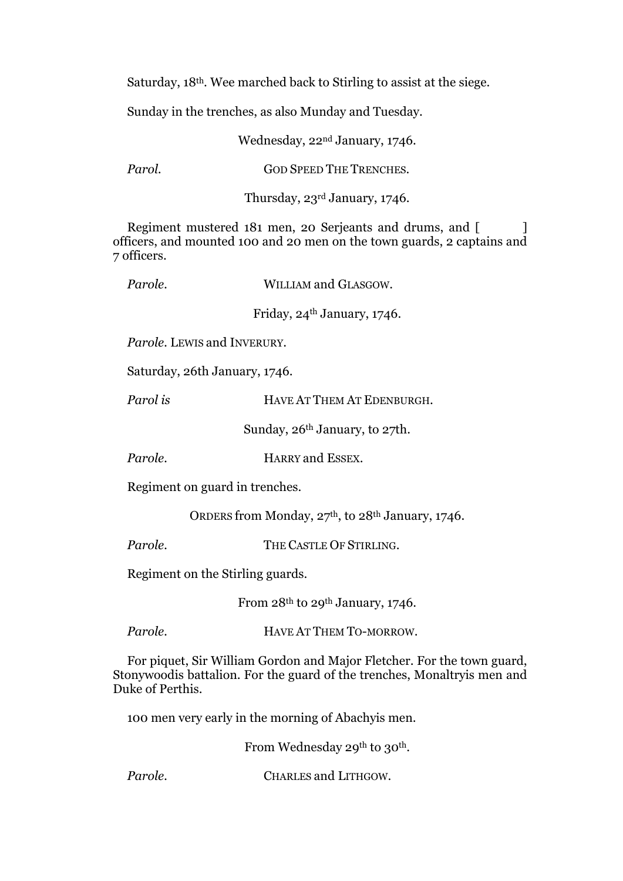Saturday, 18th. Wee marched back to Stirling to assist at the siege.

Sunday in the trenches, as also Munday and Tuesday.

Wednesday, 22nd January, 1746.

*Parol.* **GOD SPEED THE TRENCHES.** 

Thursday, 23rd January, 1746.

Regiment mustered 181 men, 20 Serjeants and drums, and [ ] officers, and mounted 100 and 20 men on the town guards, 2 captains and 7 officers.

| Parole.                                          | WILLIAM and GLASGOW.                    |
|--------------------------------------------------|-----------------------------------------|
|                                                  | Friday, 24 <sup>th</sup> January, 1746. |
| <i>Parole.</i> LEWIS and INVERURY.               |                                         |
| Saturday, 26th January, 1746.                    |                                         |
| Parol is                                         | HAVE AT THEM AT EDENBURGH.              |
| Sunday, 26 <sup>th</sup> January, to 27th.       |                                         |
| Parole.                                          | <b>HARRY</b> and ESSEX.                 |
| Regiment on guard in trenches.                   |                                         |
| ORDERS from Monday, 27th, to 28th January, 1746. |                                         |
| Parole.                                          | THE CASTLE OF STIRLING.                 |
| Regiment on the Stirling guards.                 |                                         |
|                                                  | From $28th$ to $29th$ January, 1746.    |
| Parole.                                          | HAVE AT THEM TO-MORROW.                 |

For piquet, Sir William Gordon and Major Fletcher. For the town guard, Stonywoodis battalion. For the guard of the trenches, Monaltryis men and Duke of Perthis.

100 men very early in the morning of Abachyis men.

From Wednesday 29<sup>th</sup> to 30<sup>th</sup>.

**Parole. CHARLES and LITHGOW.**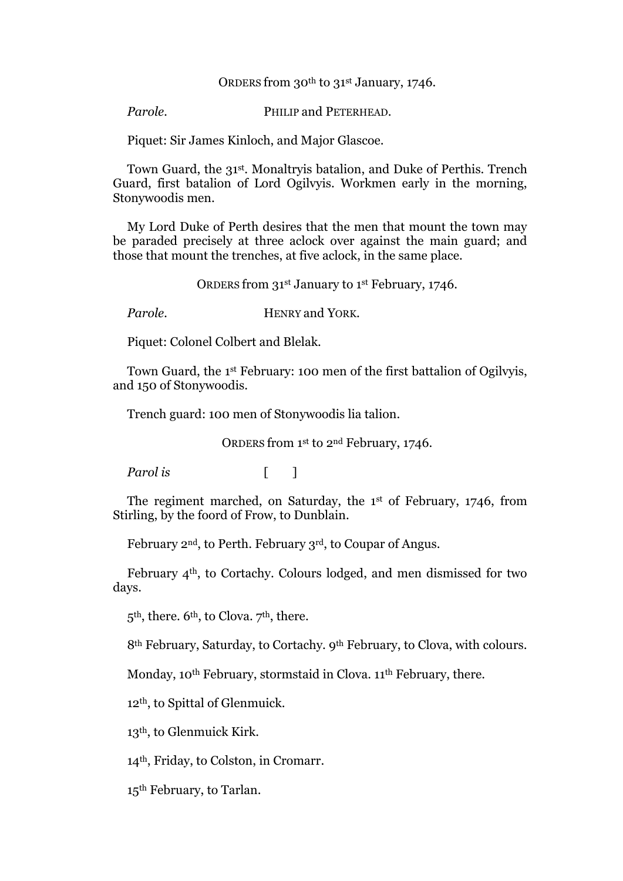#### ORDERS from 30<sup>th</sup> to 31<sup>st</sup> January, 1746.

*Parole.* PHILIP and PETERHEAD.

Piquet: Sir James Kinloch, and Major Glascoe.

Town Guard, the 31st. Monaltryis batalion, and Duke of Perthis. Trench Guard, first batalion of Lord Ogilvyis. Workmen early in the morning, Stonywoodis men.

My Lord Duke of Perth desires that the men that mount the town may be paraded precisely at three aclock over against the main guard; and those that mount the trenches, at five aclock, in the same place.

ORDERS from 31st January to 1st February, 1746.

*Parole.* **HENRY and YORK.** 

Piquet: Colonel Colbert and Blelak.

Town Guard, the 1st February: 100 men of the first battalion of Ogilvyis, and 150 of Stonywoodis.

Trench guard: 100 men of Stonywoodis lia talion.

ORDERS from 1st to 2nd February, 1746.

*Parol is* [ ]

The regiment marched, on Saturday, the 1st of February, 1746, from Stirling, by the foord of Frow, to Dunblain.

February 2nd, to Perth. February 3rd, to Coupar of Angus.

February 4th, to Cortachy. Colours lodged, and men dismissed for two days.

 $5<sup>th</sup>$ , there.  $6<sup>th</sup>$ , to Clova.  $7<sup>th</sup>$ , there.

8<sup>th</sup> February, Saturday, to Cortachy. 9<sup>th</sup> February, to Clova, with colours.

Monday, 10<sup>th</sup> February, stormstaid in Clova. 11<sup>th</sup> February, there.

12th, to Spittal of Glenmuick.

13th, to Glenmuick Kirk.

14th, Friday, to Colston, in Cromarr.

15th February, to Tarlan.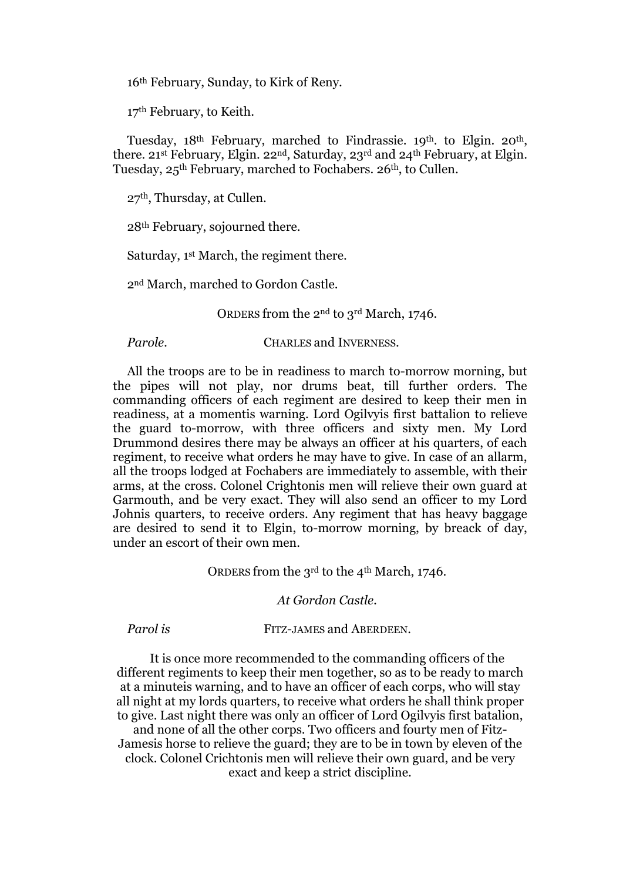16th February, Sunday, to Kirk of Reny.

17th February, to Keith.

Tuesday, 18th February, marched to Findrassie. 19th. to Elgin. 20th, there. 21st February, Elgin. 22nd, Saturday, 23rd and 24th February, at Elgin. Tuesday, 25th February, marched to Fochabers. 26th, to Cullen.

27th, Thursday, at Cullen.

28th February, sojourned there.

Saturday, 1st March, the regiment there.

2nd March, marched to Gordon Castle.

ORDERS from the 2nd to 3rd March, 1746.

**Parole. CHARLES and INVERNESS.** 

All the troops are to be in readiness to march to-morrow morning, but the pipes will not play, nor drums beat, till further orders. The commanding officers of each regiment are desired to keep their men in readiness, at a momentis warning. Lord Ogilvyis first battalion to relieve the guard to-morrow, with three officers and sixty men. My Lord Drummond desires there may be always an officer at his quarters, of each regiment, to receive what orders he may have to give. In case of an allarm, all the troops lodged at Fochabers are immediately to assemble, with their arms, at the cross. Colonel Crightonis men will relieve their own guard at Garmouth, and be very exact. They will also send an officer to my Lord Johnis quarters, to receive orders. Any regiment that has heavy baggage are desired to send it to Elgin, to-morrow morning, by breack of day, under an escort of their own men.

ORDERS from the 3rd to the 4th March, 1746.

*At Gordon Castle.*

*Parol is* FITZ-JAMES and ABERDEEN.

It is once more recommended to the commanding officers of the different regiments to keep their men together, so as to be ready to march at a minuteis warning, and to have an officer of each corps, who will stay all night at my lords quarters, to receive what orders he shall think proper to give. Last night there was only an officer of Lord Ogilvyis first batalion,

and none of all the other corps. Two officers and fourty men of Fitz-Jamesis horse to relieve the guard; they are to be in town by eleven of the clock. Colonel Crichtonis men will relieve their own guard, and be very exact and keep a strict discipline.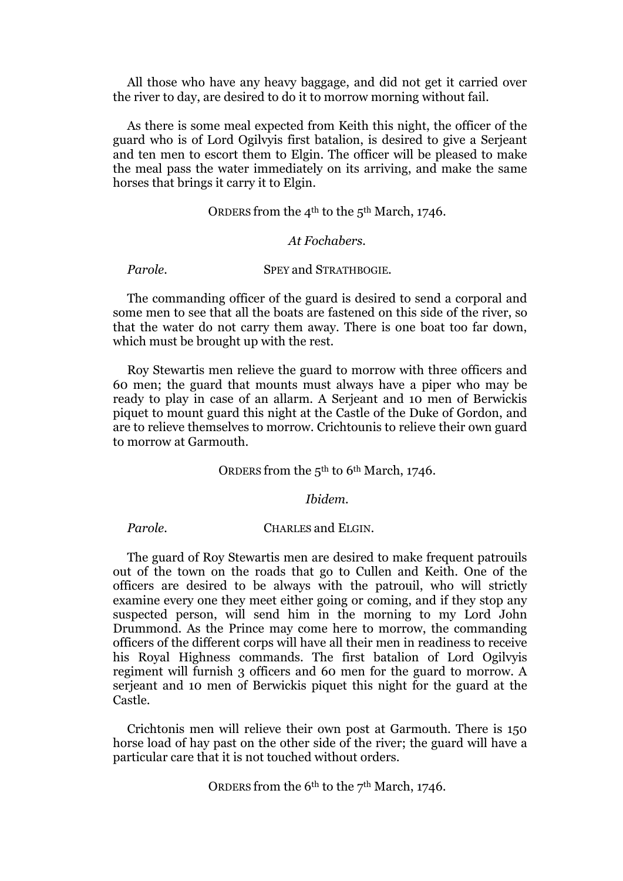All those who have any heavy baggage, and did not get it carried over the river to day, are desired to do it to morrow morning without fail.

As there is some meal expected from Keith this night, the officer of the guard who is of Lord Ogilvyis first batalion, is desired to give a Serjeant and ten men to escort them to Elgin. The officer will be pleased to make the meal pass the water immediately on its arriving, and make the same horses that brings it carry it to Elgin.

ORDERS from the 4<sup>th</sup> to the 5<sup>th</sup> March, 1746.

#### *At Fochabers.*

**Parole.** SPEY and STRATHBOGIE.

The commanding officer of the guard is desired to send a corporal and some men to see that all the boats are fastened on this side of the river, so that the water do not carry them away. There is one boat too far down, which must be brought up with the rest.

Roy Stewartis men relieve the guard to morrow with three officers and 60 men; the guard that mounts must always have a piper who may be ready to play in case of an allarm. A Serjeant and 10 men of Berwickis piquet to mount guard this night at the Castle of the Duke of Gordon, and are to relieve themselves to morrow. Crichtounis to relieve their own guard to morrow at Garmouth.

#### ORDERS from the 5<sup>th</sup> to 6<sup>th</sup> March, 1746.

#### *Ibidem.*

*Parole.* **CHARLES and ELGIN.** 

The guard of Roy Stewartis men are desired to make frequent patrouils out of the town on the roads that go to Cullen and Keith. One of the officers are desired to be always with the patrouil, who will strictly examine every one they meet either going or coming, and if they stop any suspected person, will send him in the morning to my Lord John Drummond. As the Prince may come here to morrow, the commanding officers of the different corps will have all their men in readiness to receive his Royal Highness commands. The first batalion of Lord Ogilvyis regiment will furnish 3 officers and 60 men for the guard to morrow. A serjeant and 10 men of Berwickis piquet this night for the guard at the Castle.

Crichtonis men will relieve their own post at Garmouth. There is 150 horse load of hay past on the other side of the river; the guard will have a particular care that it is not touched without orders.

ORDERS from the 6th to the 7th March, 1746.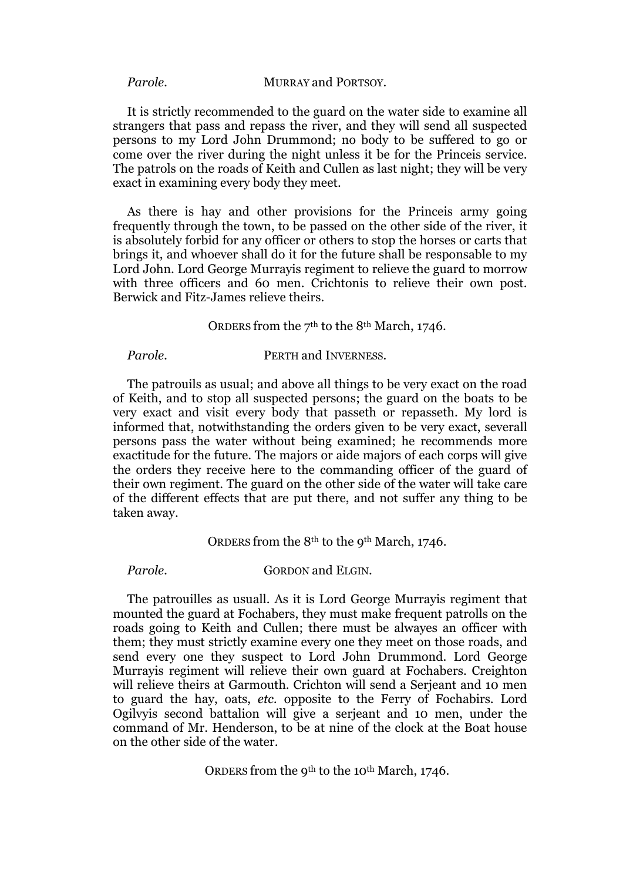*Parole.* **MURRAY and PORTSOY.** 

It is strictly recommended to the guard on the water side to examine all strangers that pass and repass the river, and they will send all suspected persons to my Lord John Drummond; no body to be suffered to go or come over the river during the night unless it be for the Princeis service. The patrols on the roads of Keith and Cullen as last night; they will be very exact in examining every body they meet.

As there is hay and other provisions for the Princeis army going frequently through the town, to be passed on the other side of the river, it is absolutely forbid for any officer or others to stop the horses or carts that brings it, and whoever shall do it for the future shall be responsable to my Lord John. Lord George Murrayis regiment to relieve the guard to morrow with three officers and 60 men. Crichtonis to relieve their own post. Berwick and Fitz-James relieve theirs.

ORDERS from the 7th to the 8th March, 1746.

*Parole.* PERTH and INVERNESS.

The patrouils as usual; and above all things to be very exact on the road of Keith, and to stop all suspected persons; the guard on the boats to be very exact and visit every body that passeth or repasseth. My lord is informed that, notwithstanding the orders given to be very exact, severall persons pass the water without being examined; he recommends more exactitude for the future. The majors or aide majors of each corps will give the orders they receive here to the commanding officer of the guard of their own regiment. The guard on the other side of the water will take care of the different effects that are put there, and not suffer any thing to be taken away.

ORDERS from the 8<sup>th</sup> to the 9<sup>th</sup> March, 1746.

#### *Parole.* GORDON and ELGIN.

The patrouilles as usuall. As it is Lord George Murrayis regiment that mounted the guard at Fochabers, they must make frequent patrolls on the roads going to Keith and Cullen; there must be alwayes an officer with them; they must strictly examine every one they meet on those roads, and send every one they suspect to Lord John Drummond. Lord George Murrayis regiment will relieve their own guard at Fochabers. Creighton will relieve theirs at Garmouth. Crichton will send a Serjeant and 10 men to guard the hay, oats, *etc.* opposite to the Ferry of Fochabirs. Lord Ogilvyis second battalion will give a serjeant and 10 men, under the command of Mr. Henderson, to be at nine of the clock at the Boat house on the other side of the water.

ORDERS from the 9<sup>th</sup> to the 10<sup>th</sup> March, 1746.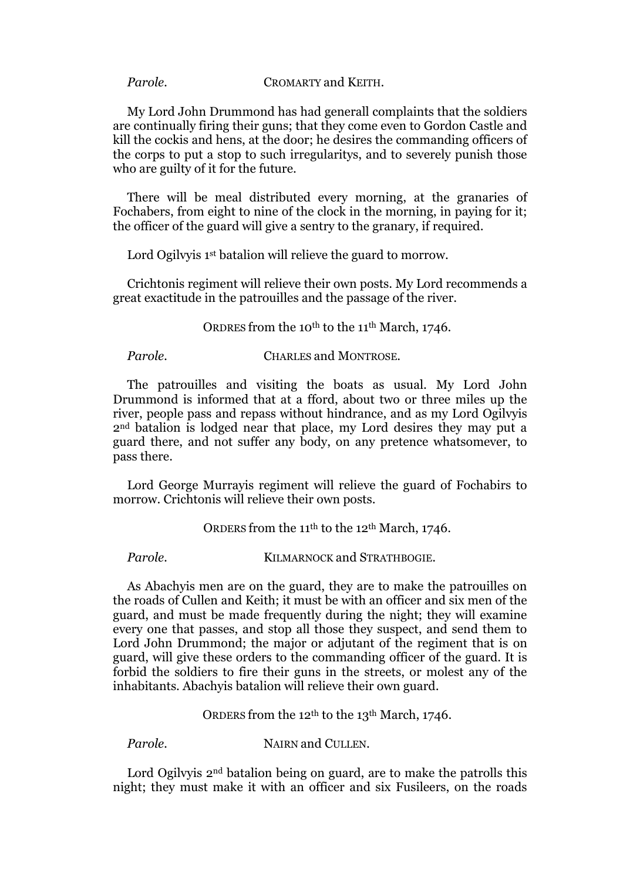#### *Parole.* CROMARTY and KEITH.

My Lord John Drummond has had generall complaints that the soldiers are continually firing their guns; that they come even to Gordon Castle and kill the cockis and hens, at the door; he desires the commanding officers of the corps to put a stop to such irregularitys, and to severely punish those who are guilty of it for the future.

There will be meal distributed every morning, at the granaries of Fochabers, from eight to nine of the clock in the morning, in paying for it; the officer of the guard will give a sentry to the granary, if required.

Lord Ogilvyis 1<sup>st</sup> batalion will relieve the guard to morrow.

Crichtonis regiment will relieve their own posts. My Lord recommends a great exactitude in the patrouilles and the passage of the river.

ORDRES from the 10th to the 11th March, 1746.

*Parole.* CHARLES and MONTROSE.

The patrouilles and visiting the boats as usual. My Lord John Drummond is informed that at a fford, about two or three miles up the river, people pass and repass without hindrance, and as my Lord Ogilvyis 2nd batalion is lodged near that place, my Lord desires they may put a guard there, and not suffer any body, on any pretence whatsomever, to pass there.

Lord George Murrayis regiment will relieve the guard of Fochabirs to morrow. Crichtonis will relieve their own posts.

ORDERS from the 11<sup>th</sup> to the 12<sup>th</sup> March, 1746.

*Parole.* **KILMARNOCK and STRATHBOGIE.** 

As Abachyis men are on the guard, they are to make the patrouilles on the roads of Cullen and Keith; it must be with an officer and six men of the guard, and must be made frequently during the night; they will examine every one that passes, and stop all those they suspect, and send them to Lord John Drummond; the major or adjutant of the regiment that is on guard, will give these orders to the commanding officer of the guard. It is forbid the soldiers to fire their guns in the streets, or molest any of the inhabitants. Abachyis batalion will relieve their own guard.

ORDERS from the 12th to the 13th March, 1746.

*Parole.* NAIRN and CULLEN.

Lord Ogilvy is 2<sup>nd</sup> batalion being on guard, are to make the patrolls this night; they must make it with an officer and six Fusileers, on the roads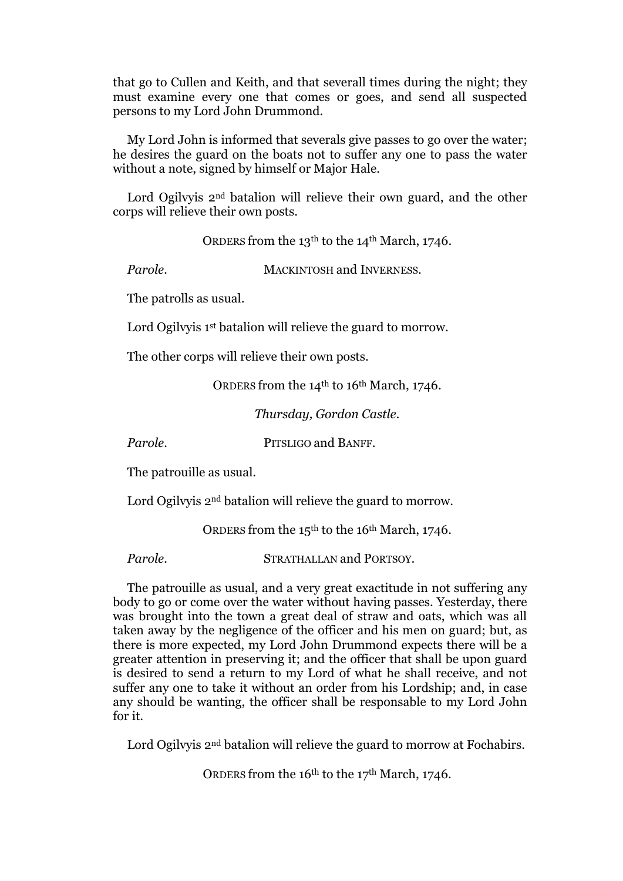that go to Cullen and Keith, and that severall times during the night; they must examine every one that comes or goes, and send all suspected persons to my Lord John Drummond.

My Lord John is informed that severals give passes to go over the water; he desires the guard on the boats not to suffer any one to pass the water without a note, signed by himself or Major Hale.

Lord Ogilvyis 2<sup>nd</sup> batalion will relieve their own guard, and the other corps will relieve their own posts.

ORDERS from the 13<sup>th</sup> to the 14<sup>th</sup> March, 1746.

**Parole.** MACKINTOSH and INVERNESS.

The patrolls as usual.

Lord Ogilvy is 1<sup>st</sup> batalion will relieve the guard to morrow.

The other corps will relieve their own posts.

ORDERS from the 14<sup>th</sup> to 16<sup>th</sup> March, 1746.

*Thursday, Gordon Castle.*

*Parole.* PITSLIGO and BANFF.

The patrouille as usual.

Lord Ogilvyis 2nd batalion will relieve the guard to morrow.

ORDERS from the 15th to the 16th March, 1746.

*Parole.* STRATHALLAN and PORTSOY.

The patrouille as usual, and a very great exactitude in not suffering any body to go or come over the water without having passes. Yesterday, there was brought into the town a great deal of straw and oats, which was all taken away by the negligence of the officer and his men on guard; but, as there is more expected, my Lord John Drummond expects there will be a greater attention in preserving it; and the officer that shall be upon guard is desired to send a return to my Lord of what he shall receive, and not suffer any one to take it without an order from his Lordship; and, in case any should be wanting, the officer shall be responsable to my Lord John for it.

Lord Ogilvyis 2<sup>nd</sup> batalion will relieve the guard to morrow at Fochabirs.

ORDERS from the 16th to the 17th March, 1746.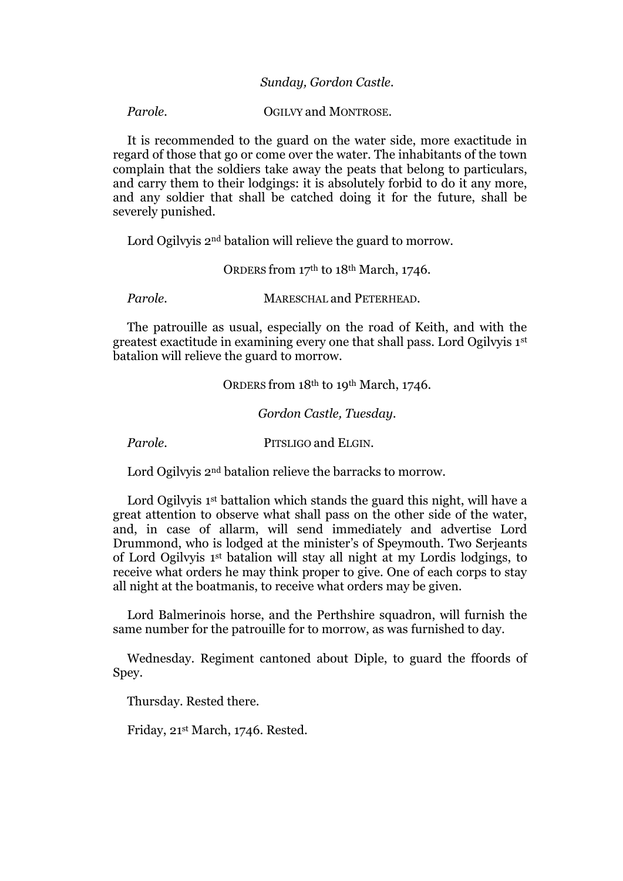*Parole.* **OGILVY and MONTROSE.** 

It is recommended to the guard on the water side, more exactitude in regard of those that go or come over the water. The inhabitants of the town complain that the soldiers take away the peats that belong to particulars, and carry them to their lodgings: it is absolutely forbid to do it any more, and any soldier that shall be catched doing it for the future, shall be severely punished.

Lord Ogilvyis 2<sup>nd</sup> batalion will relieve the guard to morrow.

ORDERS from 17th to 18th March, 1746.

**Parole. MARESCHAL and PETERHEAD.** 

The patrouille as usual, especially on the road of Keith, and with the greatest exactitude in examining every one that shall pass. Lord Ogilvyis 1st batalion will relieve the guard to morrow.

ORDERS from 18th to 19th March, 1746.

*Gordon Castle, Tuesday.*

*Parole.* PITSLIGO and ELGIN.

Lord Ogilvyis 2<sup>nd</sup> batalion relieve the barracks to morrow.

Lord Ogilvyis 1<sup>st</sup> battalion which stands the guard this night, will have a great attention to observe what shall pass on the other side of the water, and, in case of allarm, will send immediately and advertise Lord Drummond, who is lodged at the minister's of Speymouth. Two Serjeants of Lord Ogilvyis 1st batalion will stay all night at my Lordis lodgings, to receive what orders he may think proper to give. One of each corps to stay all night at the boatmanis, to receive what orders may be given.

Lord Balmerinois horse, and the Perthshire squadron, will furnish the same number for the patrouille for to morrow, as was furnished to day.

Wednesday. Regiment cantoned about Diple, to guard the ffoords of Spey.

Thursday. Rested there.

Friday, 21st March, 1746. Rested.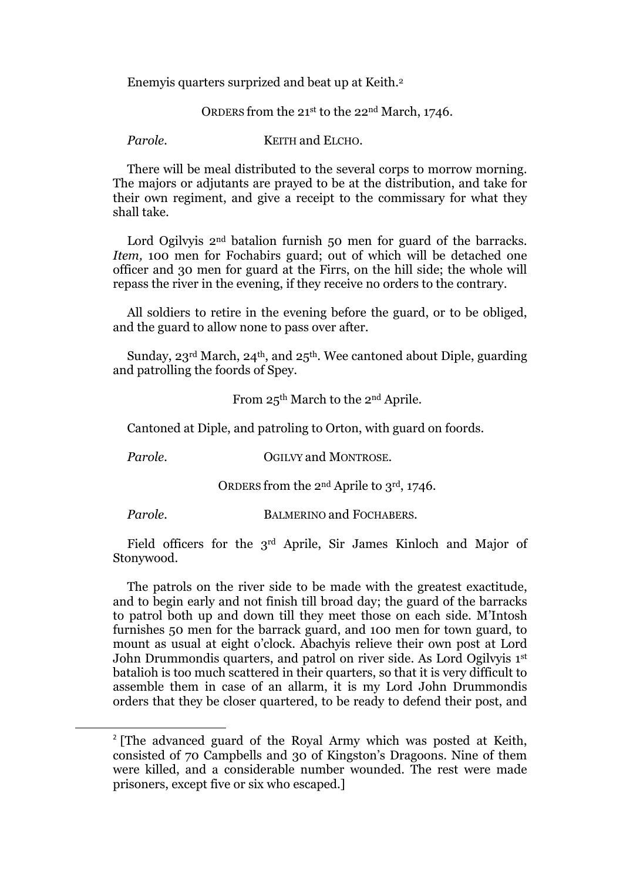Enemyis quarters surprized and beat up at Keith.<sup>2</sup>

ORDERS from the 21st to the 22nd March, 1746.

*Parole.* **KEITH** and ELCHO.

There will be meal distributed to the several corps to morrow morning. The majors or adjutants are prayed to be at the distribution, and take for their own regiment, and give a receipt to the commissary for what they shall take.

Lord Ogilvyis 2<sup>nd</sup> batalion furnish 50 men for guard of the barracks. *Item,* 100 men for Fochabirs guard; out of which will be detached one officer and 30 men for guard at the Firrs, on the hill side; the whole will repass the river in the evening, if they receive no orders to the contrary.

All soldiers to retire in the evening before the guard, or to be obliged, and the guard to allow none to pass over after.

Sunday,  $23^{\text{rd}}$  March,  $24^{\text{th}}$ , and  $25^{\text{th}}$ . Wee cantoned about Diple, guarding and patrolling the foords of Spey.

From 25th March to the 2nd Aprile.

Cantoned at Diple, and patroling to Orton, with guard on foords.

*Parole.* **OGILVY and MONTROSE.** 

ORDERS from the 2nd Aprile to 3rd, 1746.

**.** 

**Parole. BALMERINO and FOCHABERS.** 

Field officers for the 3rd Aprile, Sir James Kinloch and Major of Stonywood.

The patrols on the river side to be made with the greatest exactitude, and to begin early and not finish till broad day; the guard of the barracks to patrol both up and down till they meet those on each side. M'Intosh furnishes 50 men for the barrack guard, and 100 men for town guard, to mount as usual at eight o'clock. Abachyis relieve their own post at Lord John Drummondis quarters, and patrol on river side. As Lord Ogilvyis 1st batalioh is too much scattered in their quarters, so that it is very difficult to assemble them in case of an allarm, it is my Lord John Drummondis orders that they be closer quartered, to be ready to defend their post, and

<sup>&</sup>lt;sup>2</sup> [The advanced guard of the Royal Army which was posted at Keith, consisted of 70 Campbells and 30 of Kingston's Dragoons. Nine of them were killed, and a considerable number wounded. The rest were made prisoners, except five or six who escaped.]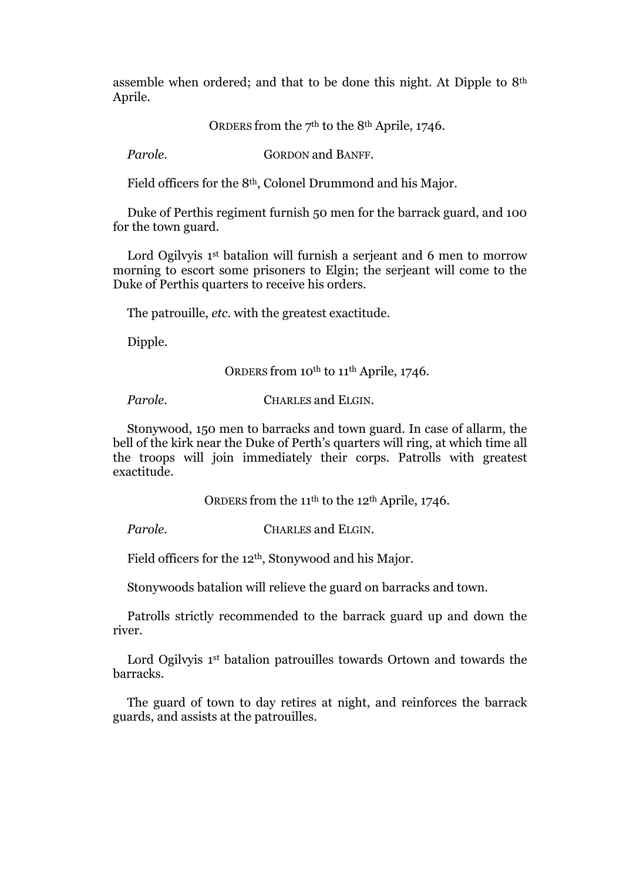assemble when ordered; and that to be done this night. At Dipple to 8th Aprile.

ORDERS from the  $7<sup>th</sup>$  to the 8<sup>th</sup> Aprile, 1746.

**Parole. GORDON** and **BANFF.** 

Field officers for the 8th, Colonel Drummond and his Major.

Duke of Perthis regiment furnish 50 men for the barrack guard, and 100 for the town guard.

Lord Ogilvyis 1<sup>st</sup> batalion will furnish a serjeant and 6 men to morrow morning to escort some prisoners to Elgin; the serjeant will come to the Duke of Perthis quarters to receive his orders.

The patrouille, *etc.* with the greatest exactitude.

Dipple.

ORDERS from 10<sup>th</sup> to 11<sup>th</sup> Aprile, 1746.

*Parole.* CHARLES and ELGIN.

Stonywood, 150 men to barracks and town guard. In case of allarm, the bell of the kirk near the Duke of Perth's quarters will ring, at which time all the troops will join immediately their corps. Patrolls with greatest exactitude.

ORDERS from the 11<sup>th</sup> to the 12<sup>th</sup> Aprile, 1746.

*Parole.* **CHARLES and ELGIN.** 

Field officers for the 12th, Stonywood and his Major.

Stonywoods batalion will relieve the guard on barracks and town.

Patrolls strictly recommended to the barrack guard up and down the river.

Lord Ogilvyis 1<sup>st</sup> batalion patrouilles towards Ortown and towards the barracks.

The guard of town to day retires at night, and reinforces the barrack guards, and assists at the patrouilles.